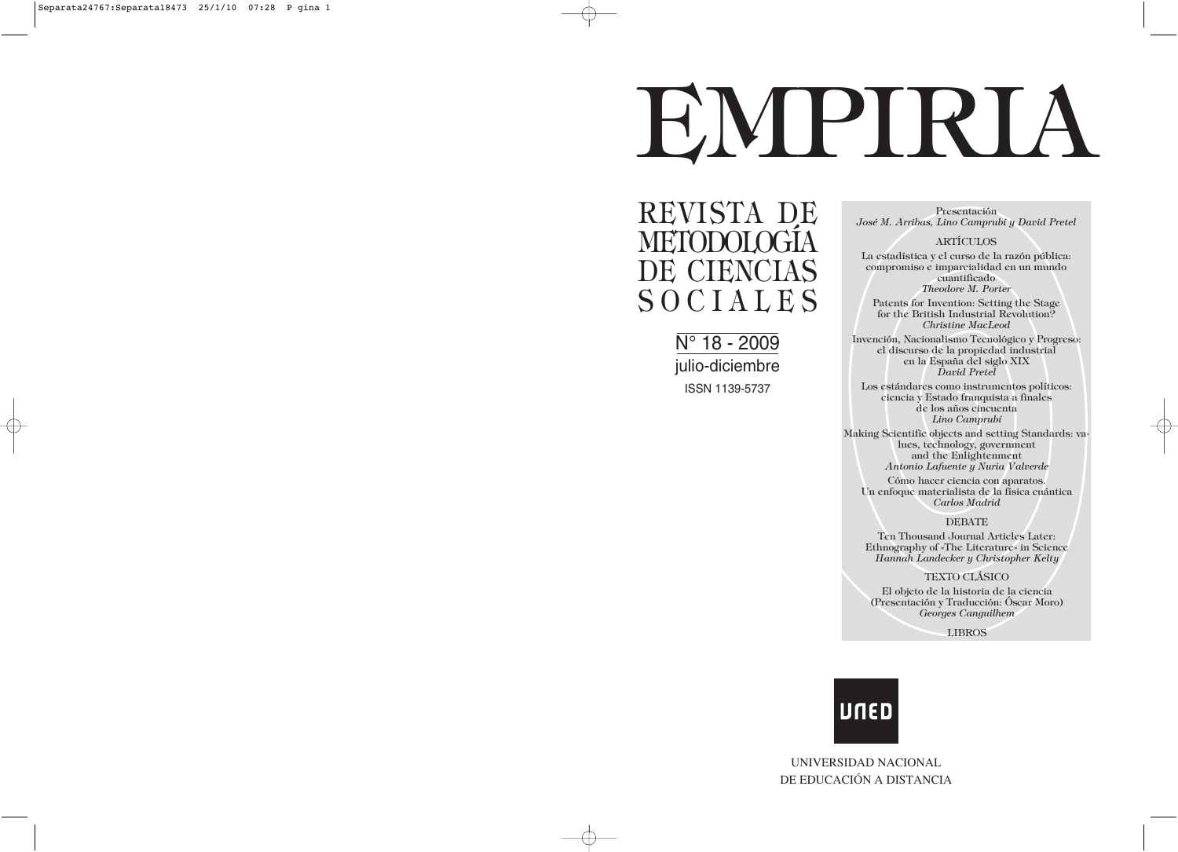# EMPIRIA

## REVISTA DE METODOLOGÍA DE CIENCIAS **SOCIALES**

N° 18 - 2009 julio-diciembre ISSN 1139-5737

Presentación *José M. Arribas, Lino Camprubí y David Pretel*

#### ARTÍCULOS

La estadística y el curso de la razón pública: compromiso e imparcialidad en un mundo cuantificado *Theodore M. Porter*

Patents for Invention: Setting the Stage for the British Industrial Revolution? *Christine MacLeod*

Invención, Nacionalismo Tecnológico y Progreso: el discurso de la propiedad industrial en la España del siglo XIX *David Pretel*

Los estándares como instrumentos políticos: ciencia y Estado franquista a finales de los años cincuenta *Lino Camprubí*

Making Scientific objects and setting Standards: values, technology, government and the Enlightenment *Antonio Lafuente y Nuria Valverde*

Cómo hacer ciencia con aparatos. Un enfoque materialista de la física cuántica *Carlos Madrid*

#### DEBATE

Ten Thousand Journal Articles Later: Ethnography of «The Literature» in Science *Hannah Landecker y Christopher Kelty*

#### TEXTO CLÁSICO

El objeto de la historia de la ciencia (Presentación y Traducción: Óscar Moro) *Georges Canguilhem*

LIBROS



UNIVERSIDAD NACIONAL DE EDUCACIÓN A DISTANCIA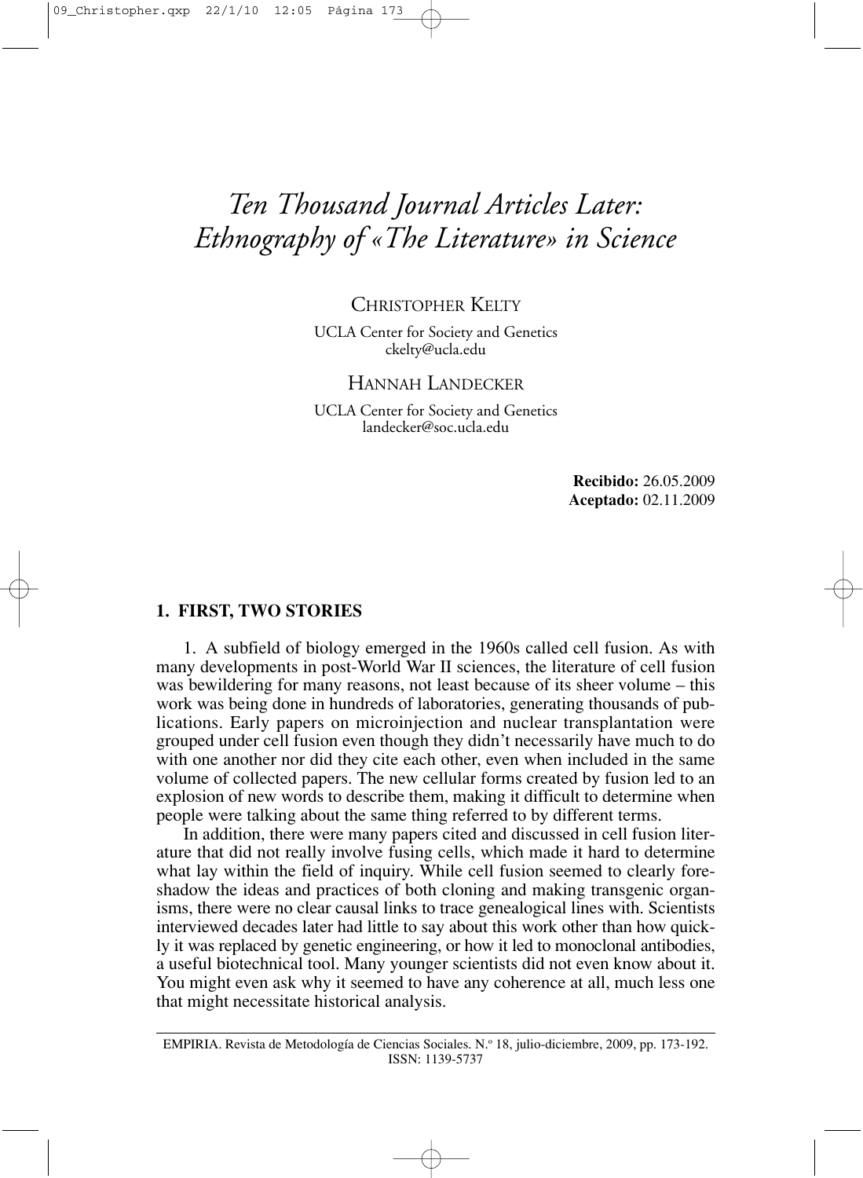### *Ten Thousand Journal Articles Later: Ethnography of «The Literature» in Science*

#### CHRISTOPHER KELTY

UCLA Center for Society and Genetics ckelty@ucla.edu

#### HANNAH LANDECKER

UCLA Center for Society and Genetics landecker@soc.ucla.edu

> **Recibido:** 26.05.2009 **Aceptado:** 02.11.2009

#### **1. FIRST, TWO STORIES**

1. A subfield of biology emerged in the 1960s called cell fusion. As with many developments in post-World War II sciences, the literature of cell fusion was bewildering for many reasons, not least because of its sheer volume – this work was being done in hundreds of laboratories, generating thousands of publications. Early papers on microinjection and nuclear transplantation were grouped under cell fusion even though they didn't necessarily have much to do with one another nor did they cite each other, even when included in the same volume of collected papers. The new cellular forms created by fusion led to an explosion of new words to describe them, making it difficult to determine when people were talking about the same thing referred to by different terms.

In addition, there were many papers cited and discussed in cell fusion literature that did not really involve fusing cells, which made it hard to determine what lay within the field of inquiry. While cell fusion seemed to clearly foreshadow the ideas and practices of both cloning and making transgenic organisms, there were no clear causal links to trace genealogical lines with. Scientists interviewed decades later had little to say about this work other than how quickly it was replaced by genetic engineering, or how it led to monoclonal antibodies, a useful biotechnical tool. Many younger scientists did not even know about it. You might even ask why it seemed to have any coherence at all, much less one that might necessitate historical analysis.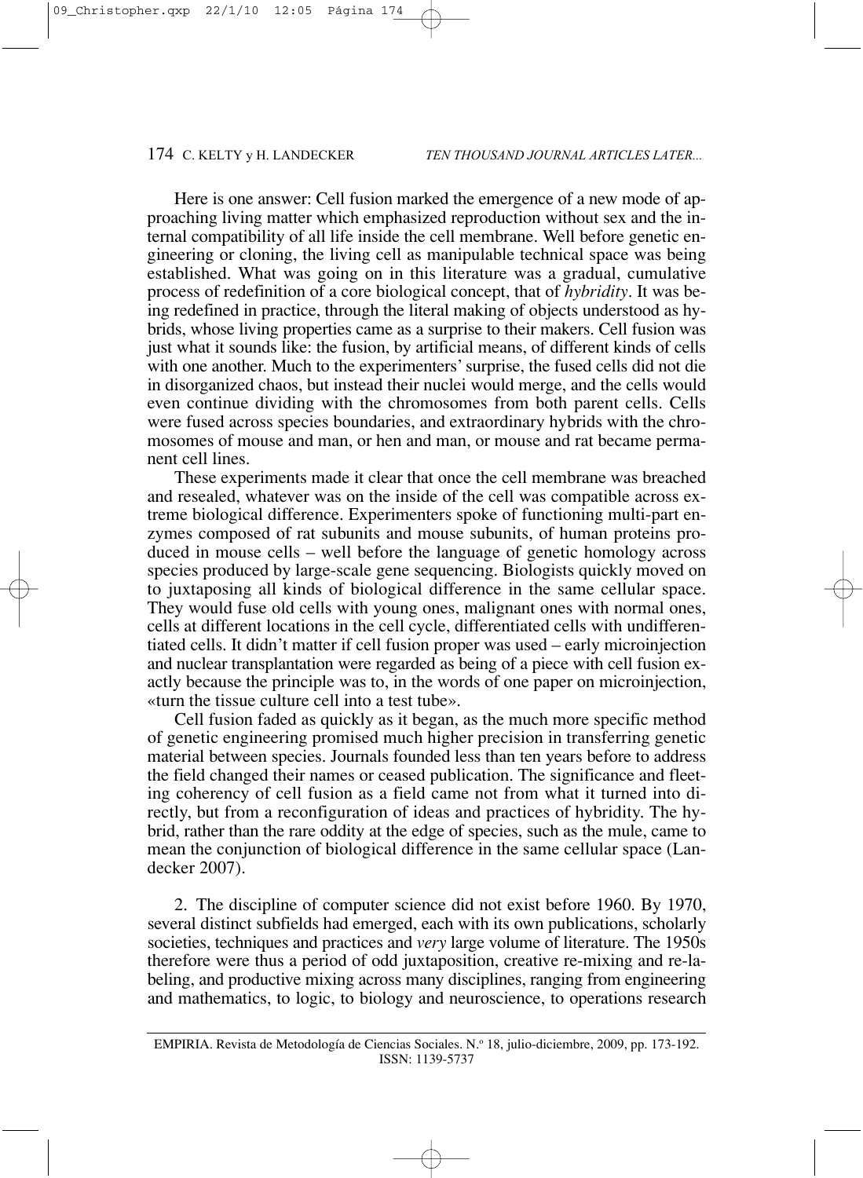Here is one answer: Cell fusion marked the emergence of a new mode of approaching living matter which emphasized reproduction without sex and the internal compatibility of all life inside the cell membrane. Well before genetic engineering or cloning, the living cell as manipulable technical space was being established. What was going on in this literature was a gradual, cumulative process of redefinition of a core biological concept, that of *hybridity*. It was being redefined in practice, through the literal making of objects understood as hybrids, whose living properties came as a surprise to their makers. Cell fusion was just what it sounds like: the fusion, by artificial means, of different kinds of cells with one another. Much to the experimenters' surprise, the fused cells did not die in disorganized chaos, but instead their nuclei would merge, and the cells would even continue dividing with the chromosomes from both parent cells. Cells were fused across species boundaries, and extraordinary hybrids with the chromosomes of mouse and man, or hen and man, or mouse and rat became permanent cell lines.

These experiments made it clear that once the cell membrane was breached and resealed, whatever was on the inside of the cell was compatible across extreme biological difference. Experimenters spoke of functioning multi-part enzymes composed of rat subunits and mouse subunits, of human proteins produced in mouse cells – well before the language of genetic homology across species produced by large-scale gene sequencing. Biologists quickly moved on to juxtaposing all kinds of biological difference in the same cellular space. They would fuse old cells with young ones, malignant ones with normal ones, cells at different locations in the cell cycle, differentiated cells with undifferentiated cells. It didn't matter if cell fusion proper was used – early microinjection and nuclear transplantation were regarded as being of a piece with cell fusion exactly because the principle was to, in the words of one paper on microinjection, «turn the tissue culture cell into a test tube».

Cell fusion faded as quickly as it began, as the much more specific method of genetic engineering promised much higher precision in transferring genetic material between species. Journals founded less than ten years before to address the field changed their names or ceased publication. The significance and fleeting coherency of cell fusion as a field came not from what it turned into directly, but from a reconfiguration of ideas and practices of hybridity. The hybrid, rather than the rare oddity at the edge of species, such as the mule, came to mean the conjunction of biological difference in the same cellular space (Landecker 2007).

2. The discipline of computer science did not exist before 1960. By 1970, several distinct subfields had emerged, each with its own publications, scholarly societies, techniques and practices and *very* large volume of literature. The 1950s therefore were thus a period of odd juxtaposition, creative re-mixing and re-labeling, and productive mixing across many disciplines, ranging from engineering and mathematics, to logic, to biology and neuroscience, to operations research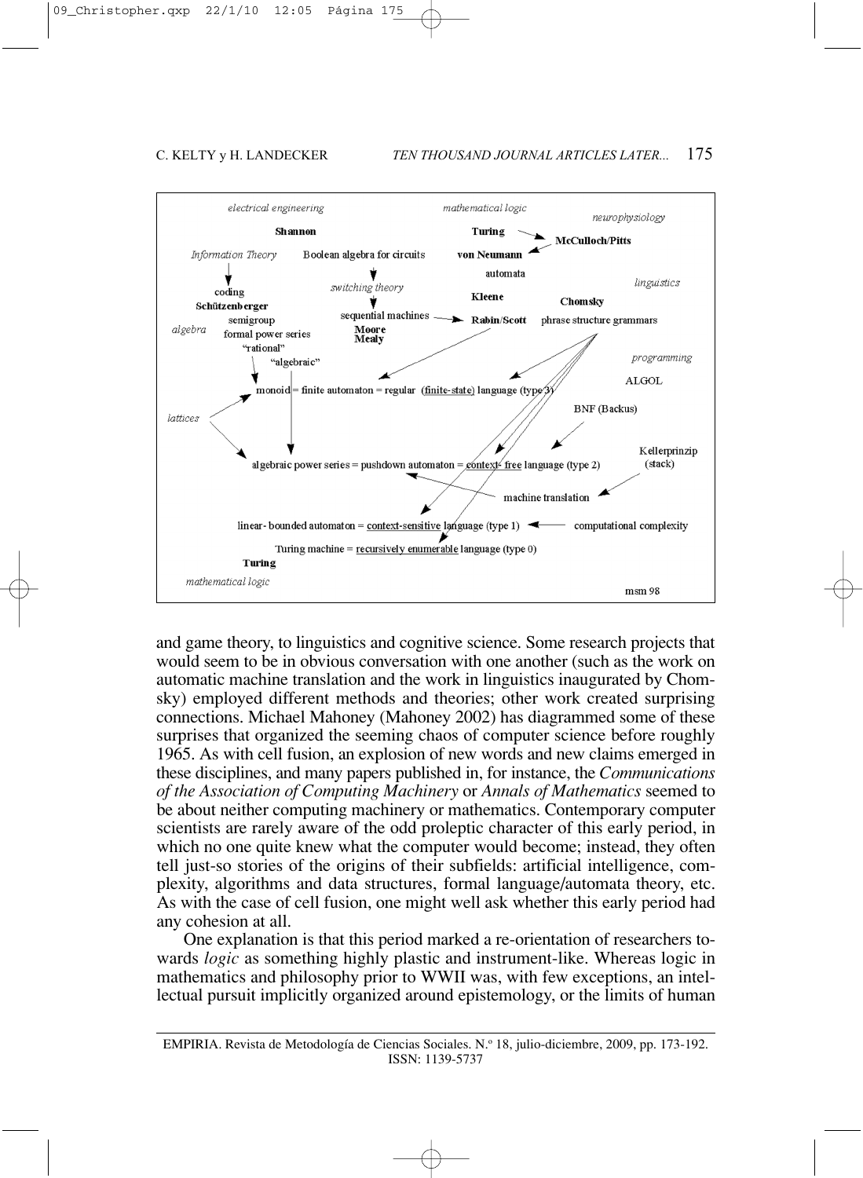

and game theory, to linguistics and cognitive science. Some research projects that would seem to be in obvious conversation with one another (such as the work on automatic machine translation and the work in linguistics inaugurated by Chomsky) employed different methods and theories; other work created surprising connections. Michael Mahoney (Mahoney 2002) has diagrammed some of these surprises that organized the seeming chaos of computer science before roughly 1965. As with cell fusion, an explosion of new words and new claims emerged in these disciplines, and many papers published in, for instance, the *Communications of the Association of Computing Machinery* or *Annals of Mathematics* seemed to be about neither computing machinery or mathematics. Contemporary computer scientists are rarely aware of the odd proleptic character of this early period, in which no one quite knew what the computer would become; instead, they often tell just-so stories of the origins of their subfields: artificial intelligence, complexity, algorithms and data structures, formal language/automata theory, etc. As with the case of cell fusion, one might well ask whether this early period had any cohesion at all.

One explanation is that this period marked a re-orientation of researchers towards *logic* as something highly plastic and instrument-like. Whereas logic in mathematics and philosophy prior to WWII was, with few exceptions, an intellectual pursuit implicitly organized around epistemology, or the limits of human

EMPIRIA. Revista de Metodología de Ciencias Sociales. N.º 18, julio-diciembre, 2009, pp. 173-192. ISSN: 1139-5737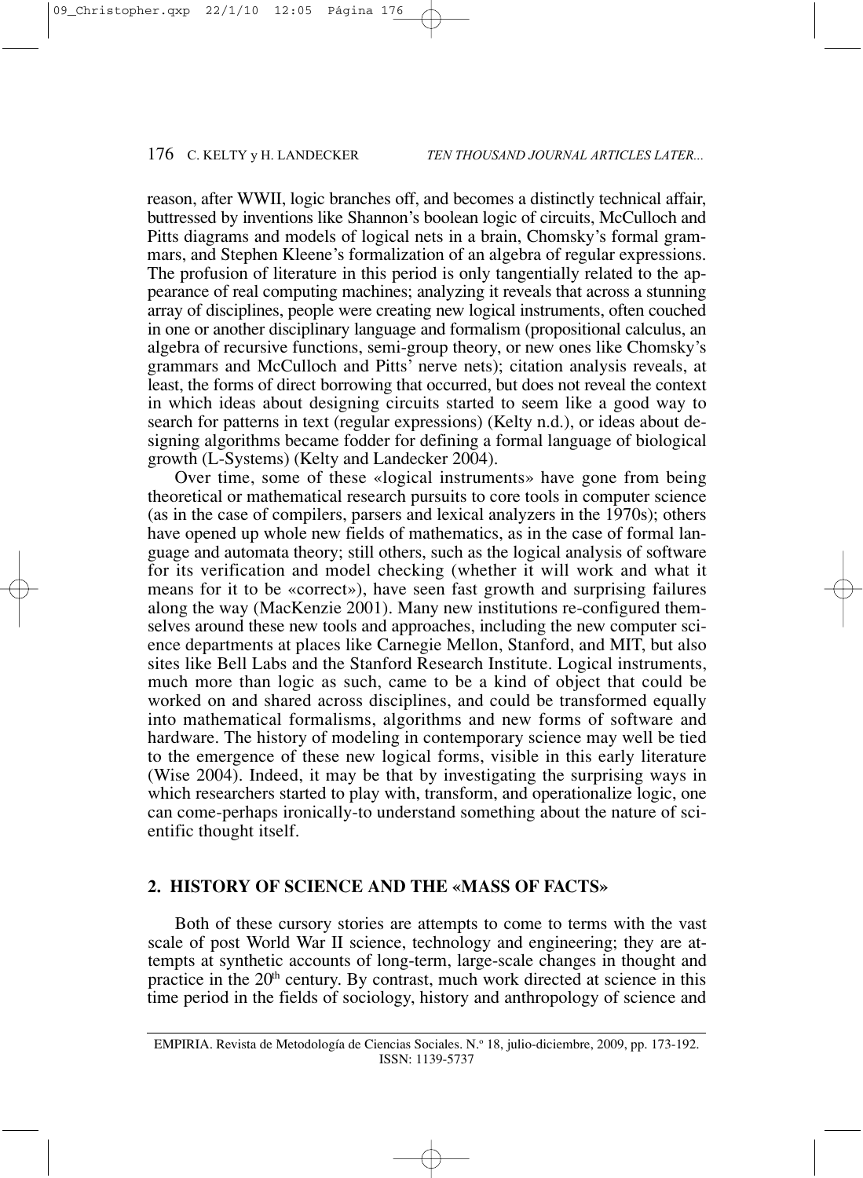reason, after WWII, logic branches off, and becomes a distinctly technical affair, buttressed by inventions like Shannon's boolean logic of circuits, McCulloch and Pitts diagrams and models of logical nets in a brain, Chomsky's formal grammars, and Stephen Kleene's formalization of an algebra of regular expressions. The profusion of literature in this period is only tangentially related to the appearance of real computing machines; analyzing it reveals that across a stunning array of disciplines, people were creating new logical instruments, often couched in one or another disciplinary language and formalism (propositional calculus, an algebra of recursive functions, semi-group theory, or new ones like Chomsky's grammars and McCulloch and Pitts' nerve nets); citation analysis reveals, at least, the forms of direct borrowing that occurred, but does not reveal the context in which ideas about designing circuits started to seem like a good way to search for patterns in text (regular expressions) (Kelty n.d.), or ideas about designing algorithms became fodder for defining a formal language of biological growth (L-Systems) (Kelty and Landecker 2004).

Over time, some of these «logical instruments» have gone from being theoretical or mathematical research pursuits to core tools in computer science (as in the case of compilers, parsers and lexical analyzers in the 1970s); others have opened up whole new fields of mathematics, as in the case of formal language and automata theory; still others, such as the logical analysis of software for its verification and model checking (whether it will work and what it means for it to be «correct»), have seen fast growth and surprising failures along the way (MacKenzie 2001). Many new institutions re-configured themselves around these new tools and approaches, including the new computer science departments at places like Carnegie Mellon, Stanford, and MIT, but also sites like Bell Labs and the Stanford Research Institute. Logical instruments, much more than logic as such, came to be a kind of object that could be worked on and shared across disciplines, and could be transformed equally into mathematical formalisms, algorithms and new forms of software and hardware. The history of modeling in contemporary science may well be tied to the emergence of these new logical forms, visible in this early literature (Wise 2004). Indeed, it may be that by investigating the surprising ways in which researchers started to play with, transform, and operationalize logic, one can come-perhaps ironically-to understand something about the nature of scientific thought itself.

#### **2. HISTORY OF SCIENCE AND THE «MASS OF FACTS»**

Both of these cursory stories are attempts to come to terms with the vast scale of post World War II science, technology and engineering; they are attempts at synthetic accounts of long-term, large-scale changes in thought and practice in the 20<sup>th</sup> century. By contrast, much work directed at science in this time period in the fields of sociology, history and anthropology of science and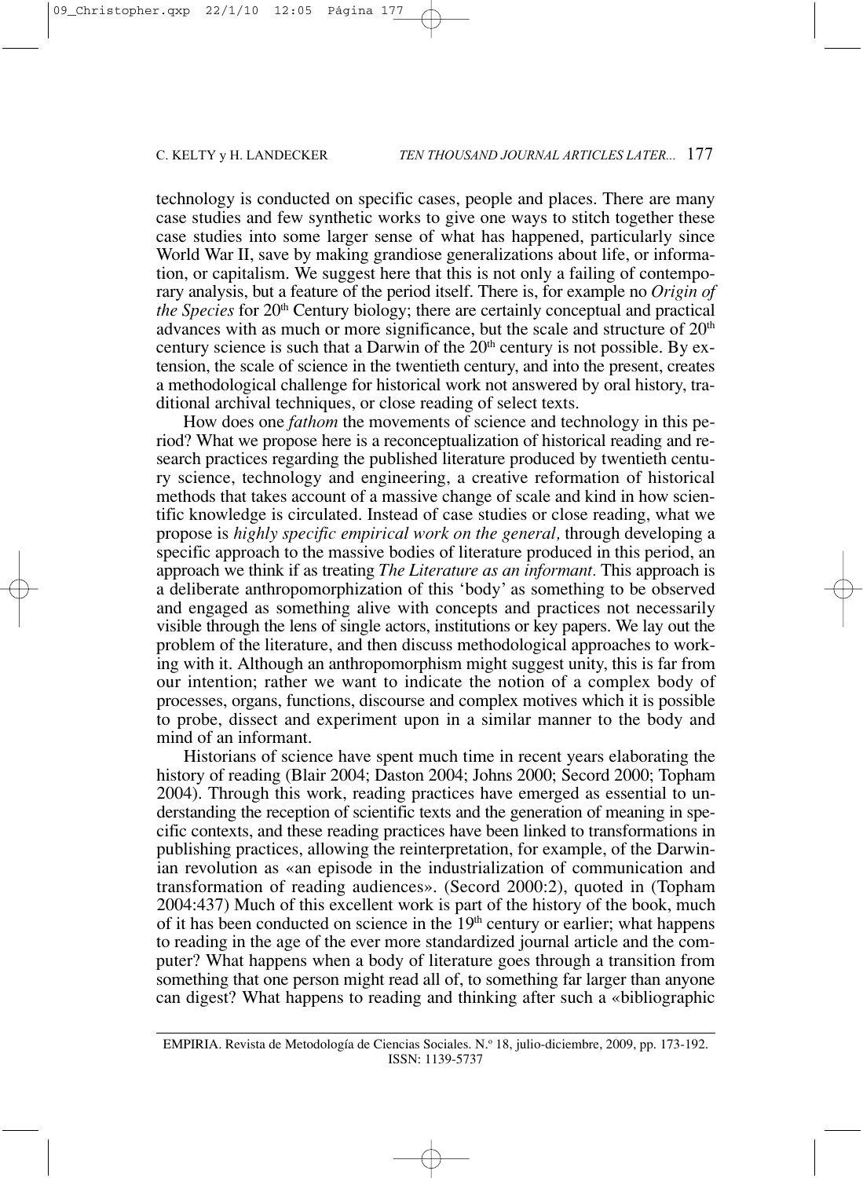technology is conducted on specific cases, people and places. There are many case studies and few synthetic works to give one ways to stitch together these case studies into some larger sense of what has happened, particularly since World War II, save by making grandiose generalizations about life, or information, or capitalism. We suggest here that this is not only a failing of contemporary analysis, but a feature of the period itself. There is, for example no *Origin of the Species* for 20<sup>th</sup> Century biology; there are certainly conceptual and practical advances with as much or more significance, but the scale and structure of  $20<sup>th</sup>$ century science is such that a Darwin of the  $20<sup>th</sup>$  century is not possible. By extension, the scale of science in the twentieth century, and into the present, creates a methodological challenge for historical work not answered by oral history, traditional archival techniques, or close reading of select texts.

How does one *fathom* the movements of science and technology in this period? What we propose here is a reconceptualization of historical reading and research practices regarding the published literature produced by twentieth century science, technology and engineering, a creative reformation of historical methods that takes account of a massive change of scale and kind in how scientific knowledge is circulated. Instead of case studies or close reading, what we propose is *highly specific empirical work on the general,* through developing a specific approach to the massive bodies of literature produced in this period, an approach we think if as treating *The Literature as an informant.* This approach is a deliberate anthropomorphization of this 'body' as something to be observed and engaged as something alive with concepts and practices not necessarily visible through the lens of single actors, institutions or key papers. We lay out the problem of the literature, and then discuss methodological approaches to working with it. Although an anthropomorphism might suggest unity, this is far from our intention; rather we want to indicate the notion of a complex body of processes, organs, functions, discourse and complex motives which it is possible to probe, dissect and experiment upon in a similar manner to the body and mind of an informant.

Historians of science have spent much time in recent years elaborating the history of reading (Blair 2004; Daston 2004; Johns 2000; Secord 2000; Topham 2004). Through this work, reading practices have emerged as essential to understanding the reception of scientific texts and the generation of meaning in specific contexts, and these reading practices have been linked to transformations in publishing practices, allowing the reinterpretation, for example, of the Darwinian revolution as «an episode in the industrialization of communication and transformation of reading audiences». (Secord 2000:2), quoted in (Topham 2004:437) Much of this excellent work is part of the history of the book, much of it has been conducted on science in the  $19<sup>th</sup>$  century or earlier; what happens to reading in the age of the ever more standardized journal article and the computer? What happens when a body of literature goes through a transition from something that one person might read all of, to something far larger than anyone can digest? What happens to reading and thinking after such a «bibliographic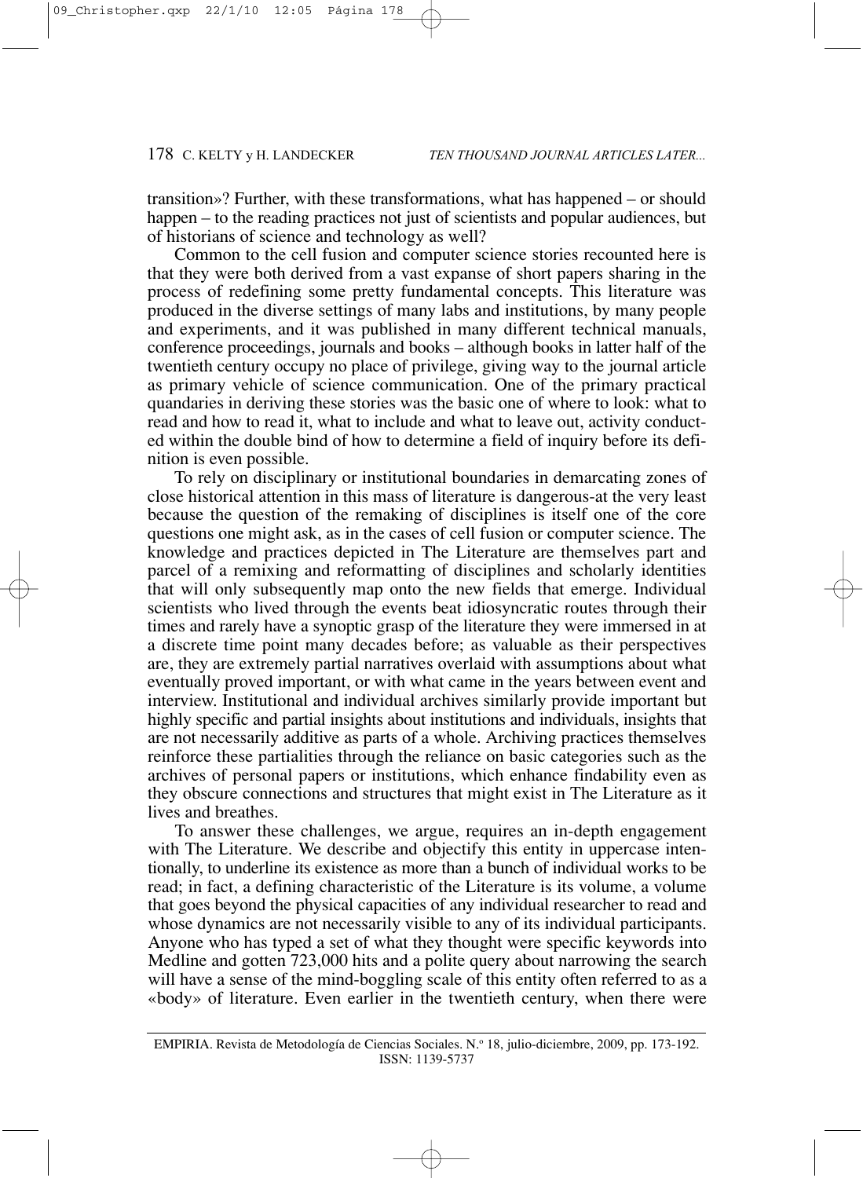transition»? Further, with these transformations, what has happened – or should happen – to the reading practices not just of scientists and popular audiences, but of historians of science and technology as well?

Common to the cell fusion and computer science stories recounted here is that they were both derived from a vast expanse of short papers sharing in the process of redefining some pretty fundamental concepts. This literature was produced in the diverse settings of many labs and institutions, by many people and experiments, and it was published in many different technical manuals, conference proceedings, journals and books – although books in latter half of the twentieth century occupy no place of privilege, giving way to the journal article as primary vehicle of science communication. One of the primary practical quandaries in deriving these stories was the basic one of where to look: what to read and how to read it, what to include and what to leave out, activity conducted within the double bind of how to determine a field of inquiry before its definition is even possible.

To rely on disciplinary or institutional boundaries in demarcating zones of close historical attention in this mass of literature is dangerous-at the very least because the question of the remaking of disciplines is itself one of the core questions one might ask, as in the cases of cell fusion or computer science. The knowledge and practices depicted in The Literature are themselves part and parcel of a remixing and reformatting of disciplines and scholarly identities that will only subsequently map onto the new fields that emerge. Individual scientists who lived through the events beat idiosyncratic routes through their times and rarely have a synoptic grasp of the literature they were immersed in at a discrete time point many decades before; as valuable as their perspectives are, they are extremely partial narratives overlaid with assumptions about what eventually proved important, or with what came in the years between event and interview. Institutional and individual archives similarly provide important but highly specific and partial insights about institutions and individuals, insights that are not necessarily additive as parts of a whole. Archiving practices themselves reinforce these partialities through the reliance on basic categories such as the archives of personal papers or institutions, which enhance findability even as they obscure connections and structures that might exist in The Literature as it lives and breathes.

To answer these challenges, we argue, requires an in-depth engagement with The Literature. We describe and objectify this entity in uppercase intentionally, to underline its existence as more than a bunch of individual works to be read; in fact, a defining characteristic of the Literature is its volume, a volume that goes beyond the physical capacities of any individual researcher to read and whose dynamics are not necessarily visible to any of its individual participants. Anyone who has typed a set of what they thought were specific keywords into Medline and gotten 723,000 hits and a polite query about narrowing the search will have a sense of the mind-boggling scale of this entity often referred to as a «body» of literature. Even earlier in the twentieth century, when there were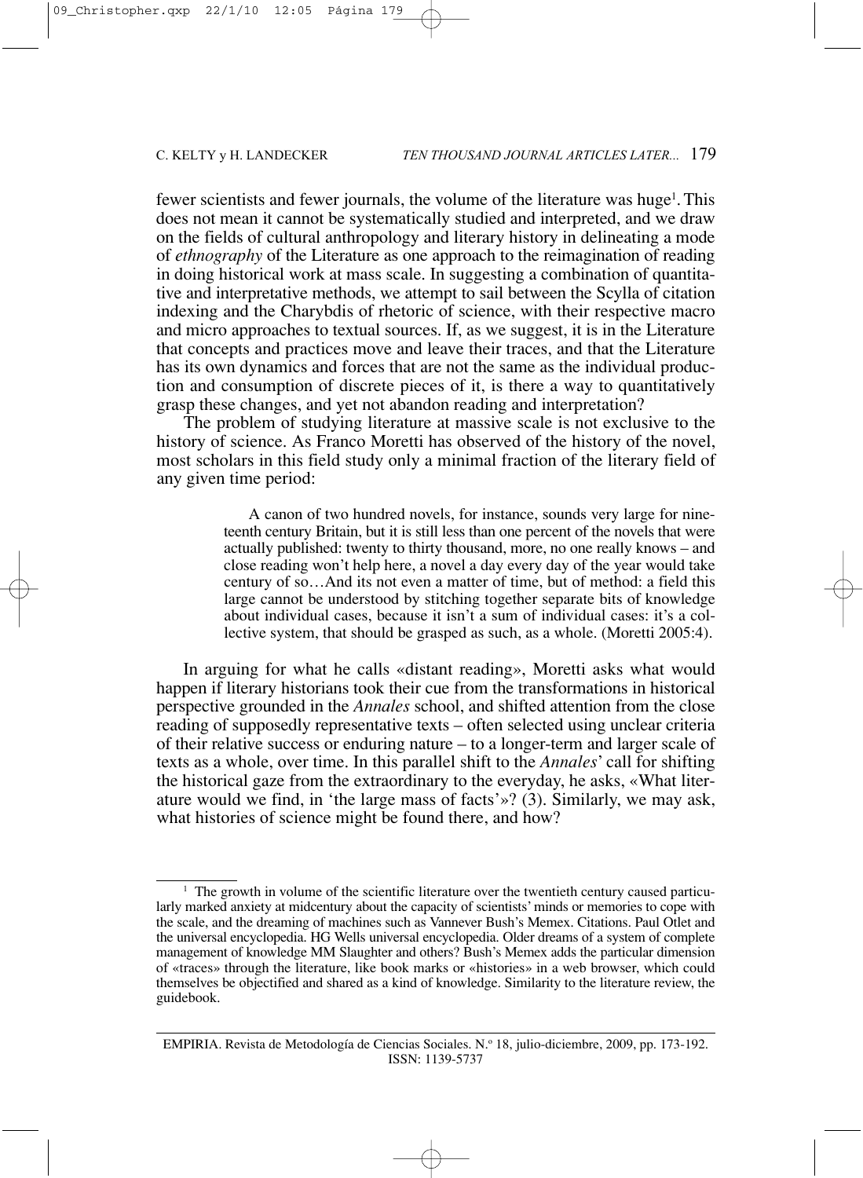fewer scientists and fewer journals, the volume of the literature was huge<sup>1</sup>. This does not mean it cannot be systematically studied and interpreted, and we draw on the fields of cultural anthropology and literary history in delineating a mode of *ethnography* of the Literature as one approach to the reimagination of reading in doing historical work at mass scale. In suggesting a combination of quantitative and interpretative methods, we attempt to sail between the Scylla of citation indexing and the Charybdis of rhetoric of science, with their respective macro and micro approaches to textual sources. If, as we suggest, it is in the Literature that concepts and practices move and leave their traces, and that the Literature has its own dynamics and forces that are not the same as the individual production and consumption of discrete pieces of it, is there a way to quantitatively grasp these changes, and yet not abandon reading and interpretation?

The problem of studying literature at massive scale is not exclusive to the history of science. As Franco Moretti has observed of the history of the novel, most scholars in this field study only a minimal fraction of the literary field of any given time period:

> A canon of two hundred novels, for instance, sounds very large for nineteenth century Britain, but it is still less than one percent of the novels that were actually published: twenty to thirty thousand, more, no one really knows – and close reading won't help here, a novel a day every day of the year would take century of so…And its not even a matter of time, but of method: a field this large cannot be understood by stitching together separate bits of knowledge about individual cases, because it isn't a sum of individual cases: it's a collective system, that should be grasped as such, as a whole. (Moretti 2005:4).

In arguing for what he calls «distant reading», Moretti asks what would happen if literary historians took their cue from the transformations in historical perspective grounded in the *Annales* school, and shifted attention from the close reading of supposedly representative texts – often selected using unclear criteria of their relative success or enduring nature – to a longer-term and larger scale of texts as a whole, over time. In this parallel shift to the *Annales*' call for shifting the historical gaze from the extraordinary to the everyday, he asks, «What literature would we find, in 'the large mass of facts'»? (3). Similarly, we may ask, what histories of science might be found there, and how?

 $<sup>1</sup>$  The growth in volume of the scientific literature over the twentieth century caused particu-</sup> larly marked anxiety at midcentury about the capacity of scientists' minds or memories to cope with the scale, and the dreaming of machines such as Vannever Bush's Memex. Citations. Paul Otlet and the universal encyclopedia. HG Wells universal encyclopedia. Older dreams of a system of complete management of knowledge MM Slaughter and others? Bush's Memex adds the particular dimension of «traces» through the literature, like book marks or «histories» in a web browser, which could themselves be objectified and shared as a kind of knowledge. Similarity to the literature review, the guidebook.

EMPIRIA. Revista de Metodología de Ciencias Sociales. N.º 18, julio-diciembre, 2009, pp. 173-192. ISSN: 1139-5737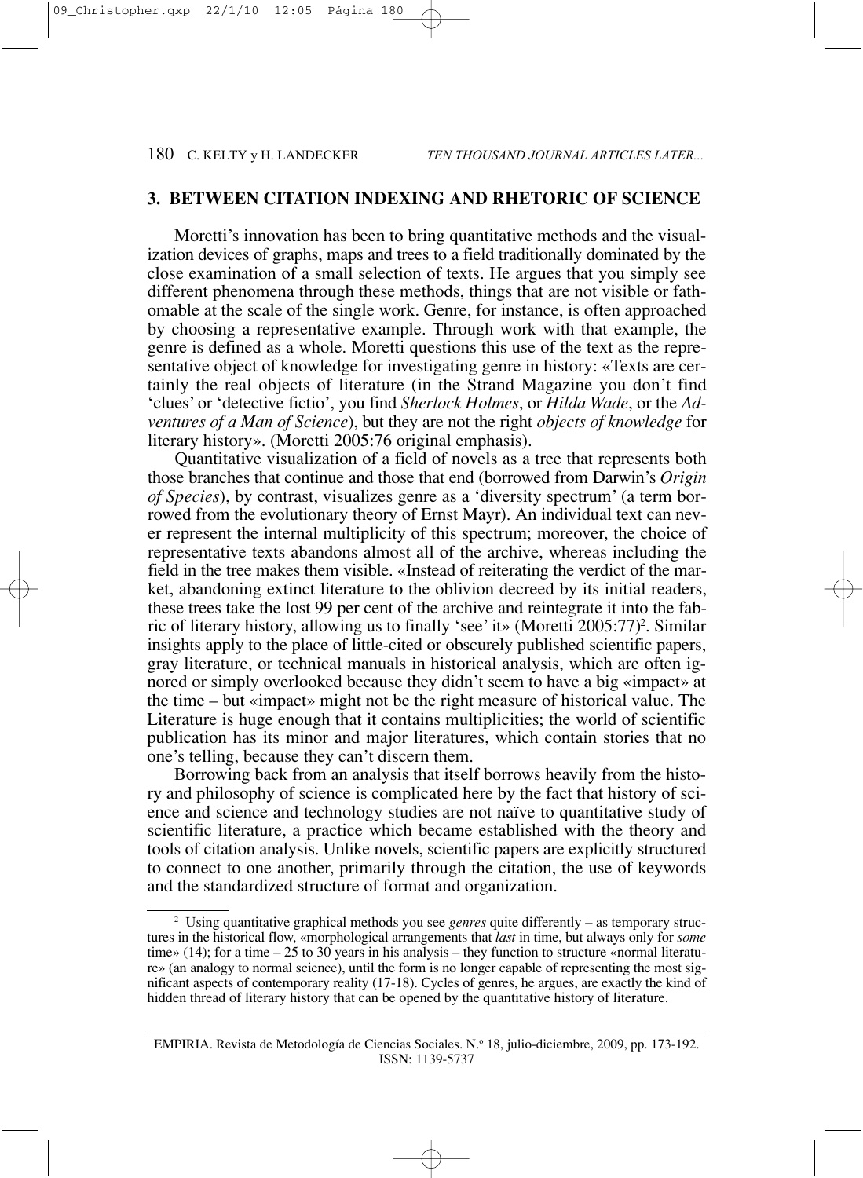#### **3. BETWEEN CITATION INDEXING AND RHETORIC OF SCIENCE**

Moretti's innovation has been to bring quantitative methods and the visualization devices of graphs, maps and trees to a field traditionally dominated by the close examination of a small selection of texts. He argues that you simply see different phenomena through these methods, things that are not visible or fathomable at the scale of the single work. Genre, for instance, is often approached by choosing a representative example. Through work with that example, the genre is defined as a whole. Moretti questions this use of the text as the representative object of knowledge for investigating genre in history: «Texts are certainly the real objects of literature (in the Strand Magazine you don't find 'clues' or 'detective fictio', you find *Sherlock Holmes*, or *Hilda Wade*, or the *Adventures of a Man of Science*), but they are not the right *objects of knowledge* for literary history». (Moretti 2005:76 original emphasis).

Quantitative visualization of a field of novels as a tree that represents both those branches that continue and those that end (borrowed from Darwin's *Origin of Species*), by contrast, visualizes genre as a 'diversity spectrum' (a term borrowed from the evolutionary theory of Ernst Mayr). An individual text can never represent the internal multiplicity of this spectrum; moreover, the choice of representative texts abandons almost all of the archive, whereas including the field in the tree makes them visible. «Instead of reiterating the verdict of the market, abandoning extinct literature to the oblivion decreed by its initial readers, these trees take the lost 99 per cent of the archive and reintegrate it into the fabric of literary history, allowing us to finally 'see' it» (Moretti 2005:77) 2 . Similar insights apply to the place of little-cited or obscurely published scientific papers, gray literature, or technical manuals in historical analysis, which are often ignored or simply overlooked because they didn't seem to have a big «impact» at the time – but «impact» might not be the right measure of historical value. The Literature is huge enough that it contains multiplicities; the world of scientific publication has its minor and major literatures, which contain stories that no one's telling, because they can't discern them.

Borrowing back from an analysis that itself borrows heavily from the history and philosophy of science is complicated here by the fact that history of science and science and technology studies are not naïve to quantitative study of scientific literature, a practice which became established with the theory and tools of citation analysis. Unlike novels, scientific papers are explicitly structured to connect to one another, primarily through the citation, the use of keywords and the standardized structure of format and organization.

<sup>2</sup> Using quantitative graphical methods you see *genres* quite differently – as temporary structures in the historical flow, «morphological arrangements that *last* in time, but always only for *some* time» (14); for a time – 25 to 30 years in his analysis – they function to structure «normal literature» (an analogy to normal science), until the form is no longer capable of representing the most significant aspects of contemporary reality (17-18). Cycles of genres, he argues, are exactly the kind of hidden thread of literary history that can be opened by the quantitative history of literature.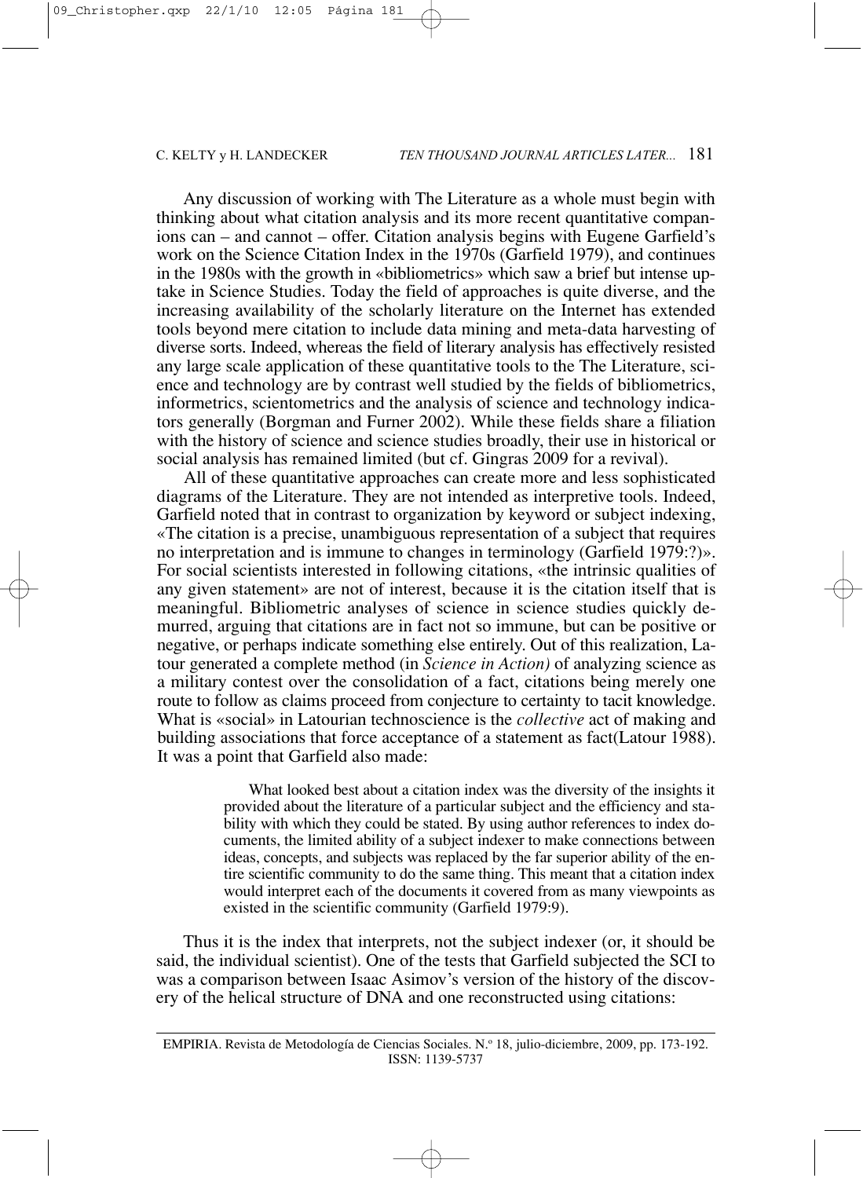Any discussion of working with The Literature as a whole must begin with thinking about what citation analysis and its more recent quantitative companions can – and cannot – offer. Citation analysis begins with Eugene Garfield's work on the Science Citation Index in the 1970s (Garfield 1979), and continues in the 1980s with the growth in «bibliometrics» which saw a brief but intense uptake in Science Studies. Today the field of approaches is quite diverse, and the increasing availability of the scholarly literature on the Internet has extended tools beyond mere citation to include data mining and meta-data harvesting of diverse sorts. Indeed, whereas the field of literary analysis has effectively resisted any large scale application of these quantitative tools to the The Literature, science and technology are by contrast well studied by the fields of bibliometrics, informetrics, scientometrics and the analysis of science and technology indicators generally (Borgman and Furner 2002). While these fields share a filiation with the history of science and science studies broadly, their use in historical or social analysis has remained limited (but cf. Gingras 2009 for a revival).

All of these quantitative approaches can create more and less sophisticated diagrams of the Literature. They are not intended as interpretive tools. Indeed, Garfield noted that in contrast to organization by keyword or subject indexing, «The citation is a precise, unambiguous representation of a subject that requires no interpretation and is immune to changes in terminology (Garfield 1979:?)». For social scientists interested in following citations, «the intrinsic qualities of any given statement» are not of interest, because it is the citation itself that is meaningful. Bibliometric analyses of science in science studies quickly demurred, arguing that citations are in fact not so immune, but can be positive or negative, or perhaps indicate something else entirely. Out of this realization, Latour generated a complete method (in *Science in Action)* of analyzing science as a military contest over the consolidation of a fact, citations being merely one route to follow as claims proceed from conjecture to certainty to tacit knowledge. What is «social» in Latourian technoscience is the *collective* act of making and building associations that force acceptance of a statement as fact(Latour 1988). It was a point that Garfield also made:

> What looked best about a citation index was the diversity of the insights it provided about the literature of a particular subject and the efficiency and stability with which they could be stated. By using author references to index documents, the limited ability of a subject indexer to make connections between ideas, concepts, and subjects was replaced by the far superior ability of the entire scientific community to do the same thing. This meant that a citation index would interpret each of the documents it covered from as many viewpoints as existed in the scientific community (Garfield 1979:9).

Thus it is the index that interprets, not the subject indexer (or, it should be said, the individual scientist). One of the tests that Garfield subjected the SCI to was a comparison between Isaac Asimov's version of the history of the discovery of the helical structure of DNA and one reconstructed using citations: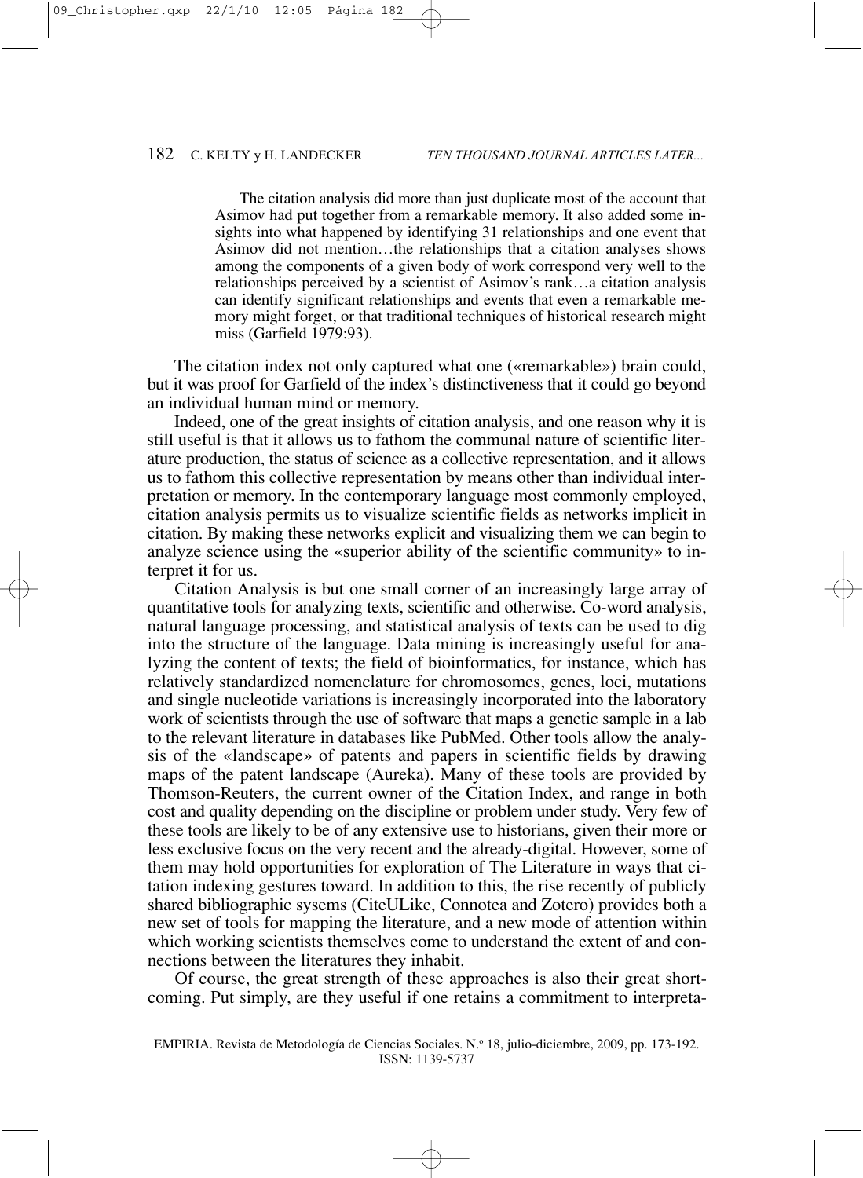The citation analysis did more than just duplicate most of the account that Asimov had put together from a remarkable memory. It also added some insights into what happened by identifying 31 relationships and one event that Asimov did not mention…the relationships that a citation analyses shows among the components of a given body of work correspond very well to the relationships perceived by a scientist of Asimov's rank…a citation analysis can identify significant relationships and events that even a remarkable memory might forget, or that traditional techniques of historical research might miss (Garfield 1979:93).

The citation index not only captured what one («remarkable») brain could, but it was proof for Garfield of the index's distinctiveness that it could go beyond an individual human mind or memory.

Indeed, one of the great insights of citation analysis, and one reason why it is still useful is that it allows us to fathom the communal nature of scientific literature production, the status of science as a collective representation, and it allows us to fathom this collective representation by means other than individual interpretation or memory. In the contemporary language most commonly employed, citation analysis permits us to visualize scientific fields as networks implicit in citation. By making these networks explicit and visualizing them we can begin to analyze science using the «superior ability of the scientific community» to interpret it for us.

Citation Analysis is but one small corner of an increasingly large array of quantitative tools for analyzing texts, scientific and otherwise. Co-word analysis, natural language processing, and statistical analysis of texts can be used to dig into the structure of the language. Data mining is increasingly useful for analyzing the content of texts; the field of bioinformatics, for instance, which has relatively standardized nomenclature for chromosomes, genes, loci, mutations and single nucleotide variations is increasingly incorporated into the laboratory work of scientists through the use of software that maps a genetic sample in a lab to the relevant literature in databases like PubMed. Other tools allow the analysis of the «landscape» of patents and papers in scientific fields by drawing maps of the patent landscape (Aureka). Many of these tools are provided by Thomson-Reuters, the current owner of the Citation Index, and range in both cost and quality depending on the discipline or problem under study. Very few of these tools are likely to be of any extensive use to historians, given their more or less exclusive focus on the very recent and the already-digital. However, some of them may hold opportunities for exploration of The Literature in ways that citation indexing gestures toward. In addition to this, the rise recently of publicly shared bibliographic sysems (CiteULike, Connotea and Zotero) provides both a new set of tools for mapping the literature, and a new mode of attention within which working scientists themselves come to understand the extent of and connections between the literatures they inhabit.

Of course, the great strength of these approaches is also their great shortcoming. Put simply, are they useful if one retains a commitment to interpreta-

EMPIRIA. Revista de Metodología de Ciencias Sociales. N.º 18, julio-diciembre, 2009, pp. 173-192. ISSN: 1139-5737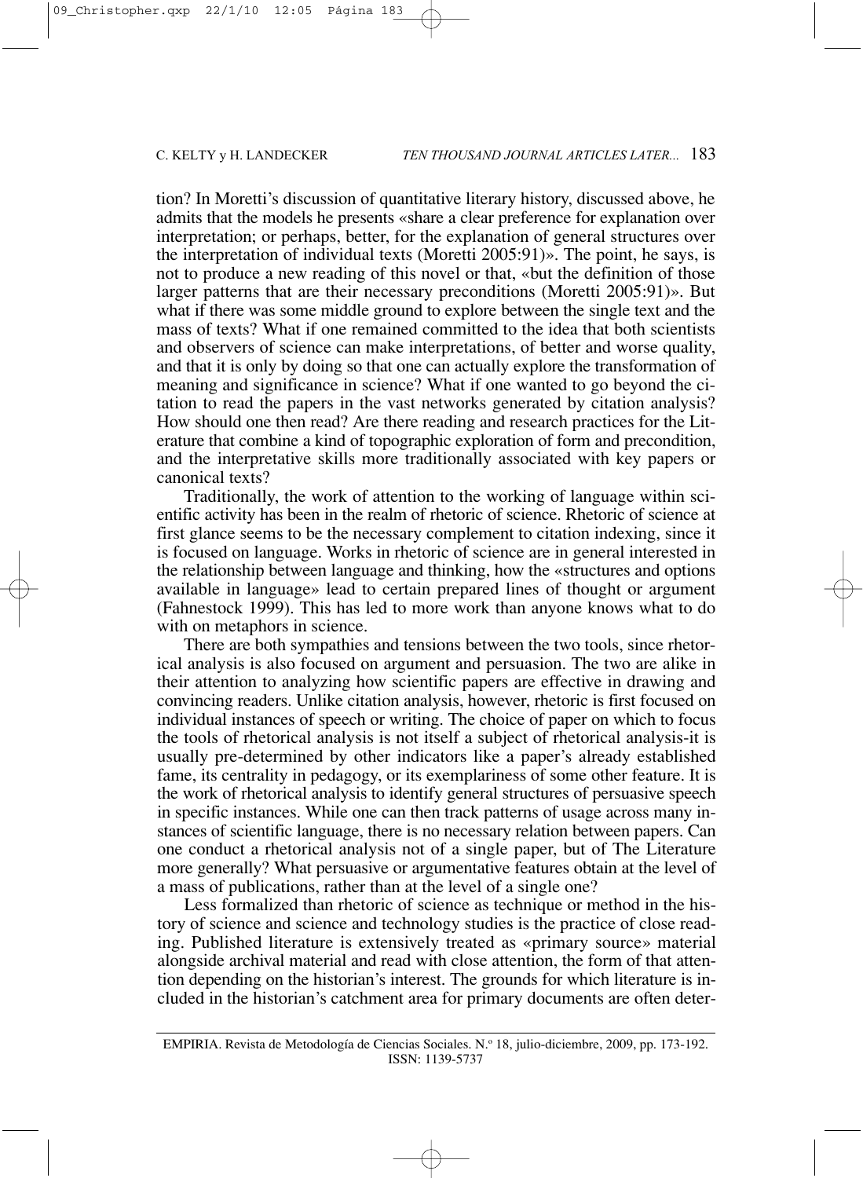tion? In Moretti's discussion of quantitative literary history, discussed above, he admits that the models he presents «share a clear preference for explanation over interpretation; or perhaps, better, for the explanation of general structures over the interpretation of individual texts (Moretti 2005:91)». The point, he says, is not to produce a new reading of this novel or that, «but the definition of those larger patterns that are their necessary preconditions (Moretti 2005:91)». But what if there was some middle ground to explore between the single text and the mass of texts? What if one remained committed to the idea that both scientists and observers of science can make interpretations, of better and worse quality, and that it is only by doing so that one can actually explore the transformation of meaning and significance in science? What if one wanted to go beyond the citation to read the papers in the vast networks generated by citation analysis? How should one then read? Are there reading and research practices for the Literature that combine a kind of topographic exploration of form and precondition, and the interpretative skills more traditionally associated with key papers or canonical texts?

Traditionally, the work of attention to the working of language within scientific activity has been in the realm of rhetoric of science. Rhetoric of science at first glance seems to be the necessary complement to citation indexing, since it is focused on language. Works in rhetoric of science are in general interested in the relationship between language and thinking, how the «structures and options available in language» lead to certain prepared lines of thought or argument (Fahnestock 1999). This has led to more work than anyone knows what to do with on metaphors in science.

There are both sympathies and tensions between the two tools, since rhetorical analysis is also focused on argument and persuasion. The two are alike in their attention to analyzing how scientific papers are effective in drawing and convincing readers. Unlike citation analysis, however, rhetoric is first focused on individual instances of speech or writing. The choice of paper on which to focus the tools of rhetorical analysis is not itself a subject of rhetorical analysis-it is usually pre-determined by other indicators like a paper's already established fame, its centrality in pedagogy, or its exemplariness of some other feature. It is the work of rhetorical analysis to identify general structures of persuasive speech in specific instances. While one can then track patterns of usage across many instances of scientific language, there is no necessary relation between papers. Can one conduct a rhetorical analysis not of a single paper, but of The Literature more generally? What persuasive or argumentative features obtain at the level of a mass of publications, rather than at the level of a single one?

Less formalized than rhetoric of science as technique or method in the history of science and science and technology studies is the practice of close reading. Published literature is extensively treated as «primary source» material alongside archival material and read with close attention, the form of that attention depending on the historian's interest. The grounds for which literature is included in the historian's catchment area for primary documents are often deter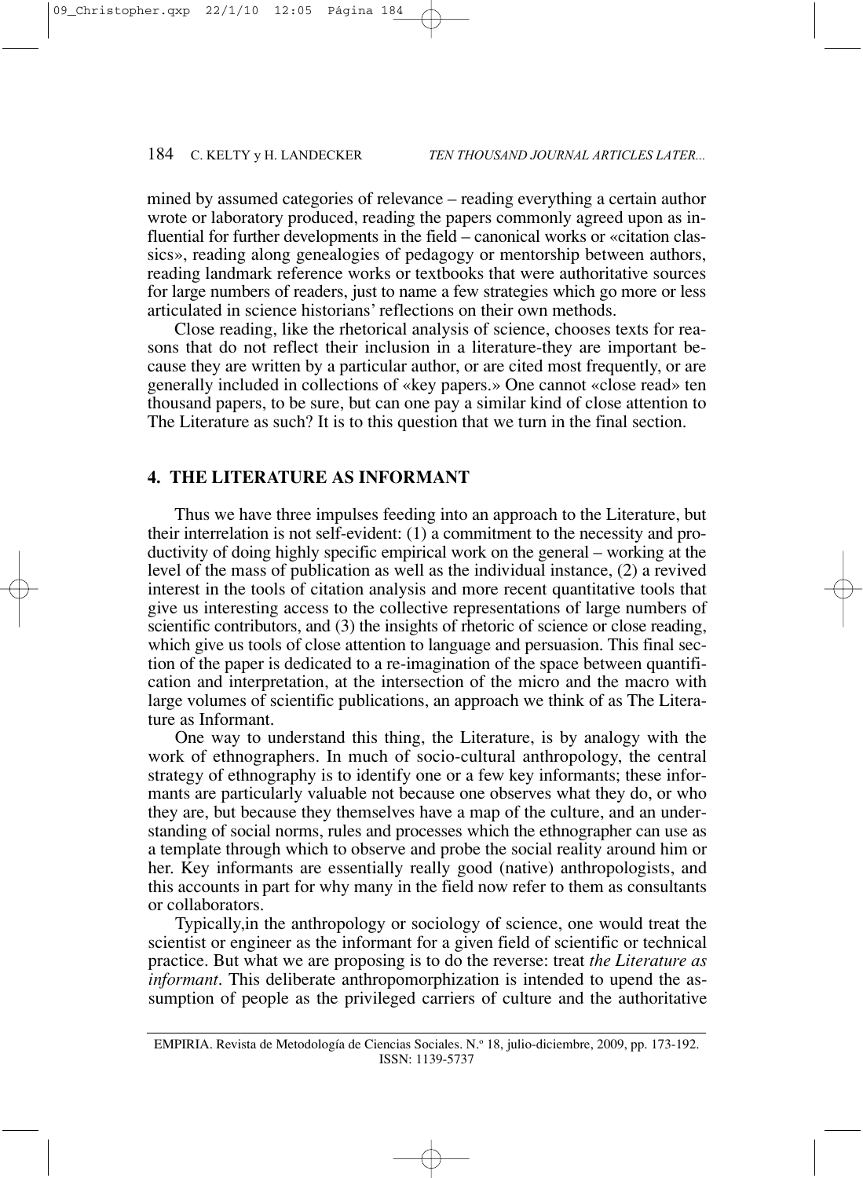mined by assumed categories of relevance – reading everything a certain author wrote or laboratory produced, reading the papers commonly agreed upon as influential for further developments in the field – canonical works or «citation classics», reading along genealogies of pedagogy or mentorship between authors, reading landmark reference works or textbooks that were authoritative sources for large numbers of readers, just to name a few strategies which go more or less articulated in science historians' reflections on their own methods.

Close reading, like the rhetorical analysis of science, chooses texts for reasons that do not reflect their inclusion in a literature-they are important because they are written by a particular author, or are cited most frequently, or are generally included in collections of «key papers.» One cannot «close read» ten thousand papers, to be sure, but can one pay a similar kind of close attention to The Literature as such? It is to this question that we turn in the final section.

#### **4. THE LITERATURE AS INFORMANT**

Thus we have three impulses feeding into an approach to the Literature, but their interrelation is not self-evident: (1) a commitment to the necessity and productivity of doing highly specific empirical work on the general – working at the level of the mass of publication as well as the individual instance, (2) a revived interest in the tools of citation analysis and more recent quantitative tools that give us interesting access to the collective representations of large numbers of scientific contributors, and (3) the insights of rhetoric of science or close reading, which give us tools of close attention to language and persuasion. This final section of the paper is dedicated to a re-imagination of the space between quantification and interpretation, at the intersection of the micro and the macro with large volumes of scientific publications, an approach we think of as The Literature as Informant.

One way to understand this thing, the Literature, is by analogy with the work of ethnographers. In much of socio-cultural anthropology, the central strategy of ethnography is to identify one or a few key informants; these informants are particularly valuable not because one observes what they do, or who they are, but because they themselves have a map of the culture, and an understanding of social norms, rules and processes which the ethnographer can use as a template through which to observe and probe the social reality around him or her. Key informants are essentially really good (native) anthropologists, and this accounts in part for why many in the field now refer to them as consultants or collaborators.

Typically,in the anthropology or sociology of science, one would treat the scientist or engineer as the informant for a given field of scientific or technical practice. But what we are proposing is to do the reverse: treat *the Literature as informant*. This deliberate anthropomorphization is intended to upend the assumption of people as the privileged carriers of culture and the authoritative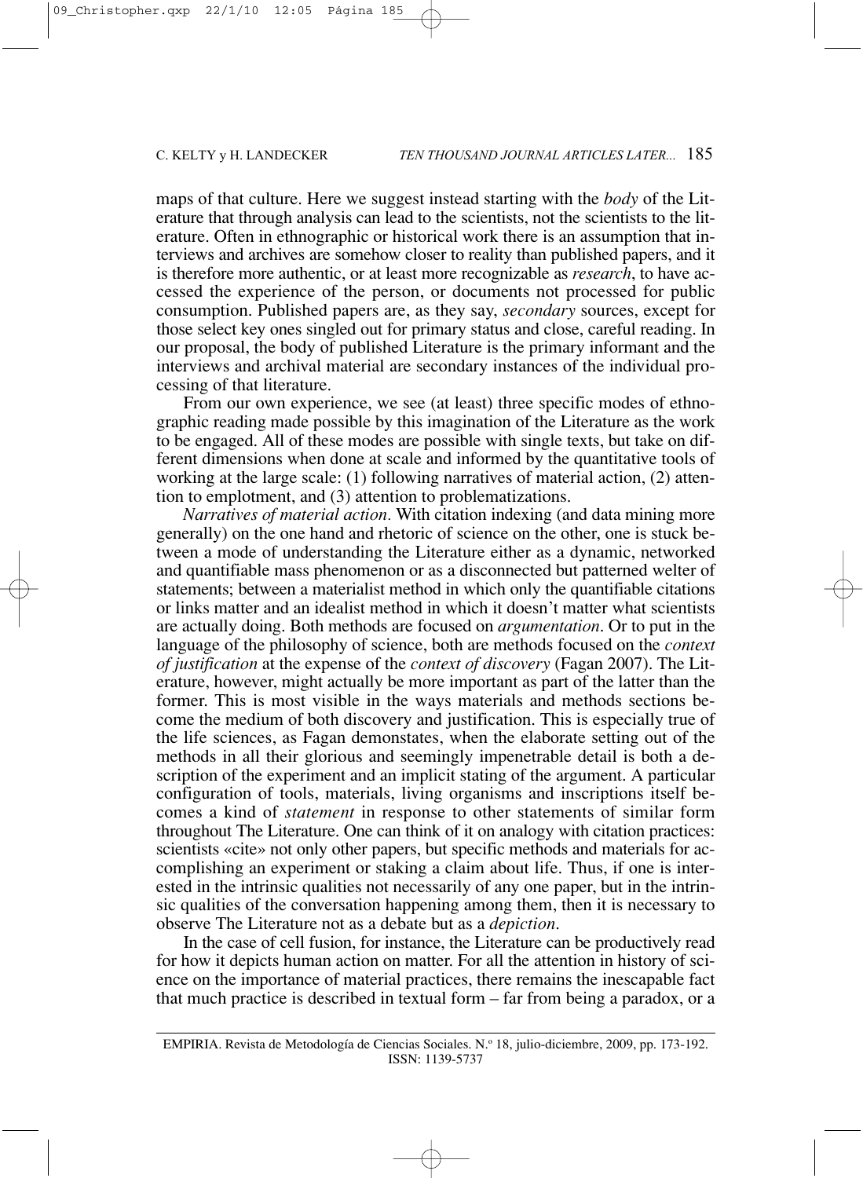maps of that culture. Here we suggest instead starting with the *body* of the Literature that through analysis can lead to the scientists, not the scientists to the literature. Often in ethnographic or historical work there is an assumption that interviews and archives are somehow closer to reality than published papers, and it is therefore more authentic, or at least more recognizable as *research*, to have accessed the experience of the person, or documents not processed for public consumption. Published papers are, as they say, *secondary* sources, except for those select key ones singled out for primary status and close, careful reading. In our proposal, the body of published Literature is the primary informant and the interviews and archival material are secondary instances of the individual processing of that literature.

From our own experience, we see (at least) three specific modes of ethnographic reading made possible by this imagination of the Literature as the work to be engaged. All of these modes are possible with single texts, but take on different dimensions when done at scale and informed by the quantitative tools of working at the large scale: (1) following narratives of material action, (2) attention to emplotment, and (3) attention to problematizations.

*Narratives of material action.* With citation indexing (and data mining more generally) on the one hand and rhetoric of science on the other, one is stuck between a mode of understanding the Literature either as a dynamic, networked and quantifiable mass phenomenon or as a disconnected but patterned welter of statements; between a materialist method in which only the quantifiable citations or links matter and an idealist method in which it doesn't matter what scientists are actually doing. Both methods are focused on *argumentation*. Or to put in the language of the philosophy of science, both are methods focused on the *context of justification* at the expense of the *context of discovery* (Fagan 2007). The Literature, however, might actually be more important as part of the latter than the former. This is most visible in the ways materials and methods sections become the medium of both discovery and justification. This is especially true of the life sciences, as Fagan demonstates, when the elaborate setting out of the methods in all their glorious and seemingly impenetrable detail is both a description of the experiment and an implicit stating of the argument. A particular configuration of tools, materials, living organisms and inscriptions itself becomes a kind of *statement* in response to other statements of similar form throughout The Literature. One can think of it on analogy with citation practices: scientists «cite» not only other papers, but specific methods and materials for accomplishing an experiment or staking a claim about life. Thus, if one is interested in the intrinsic qualities not necessarily of any one paper, but in the intrinsic qualities of the conversation happening among them, then it is necessary to observe The Literature not as a debate but as a *depiction*.

In the case of cell fusion, for instance, the Literature can be productively read for how it depicts human action on matter. For all the attention in history of science on the importance of material practices, there remains the inescapable fact that much practice is described in textual form – far from being a paradox, or a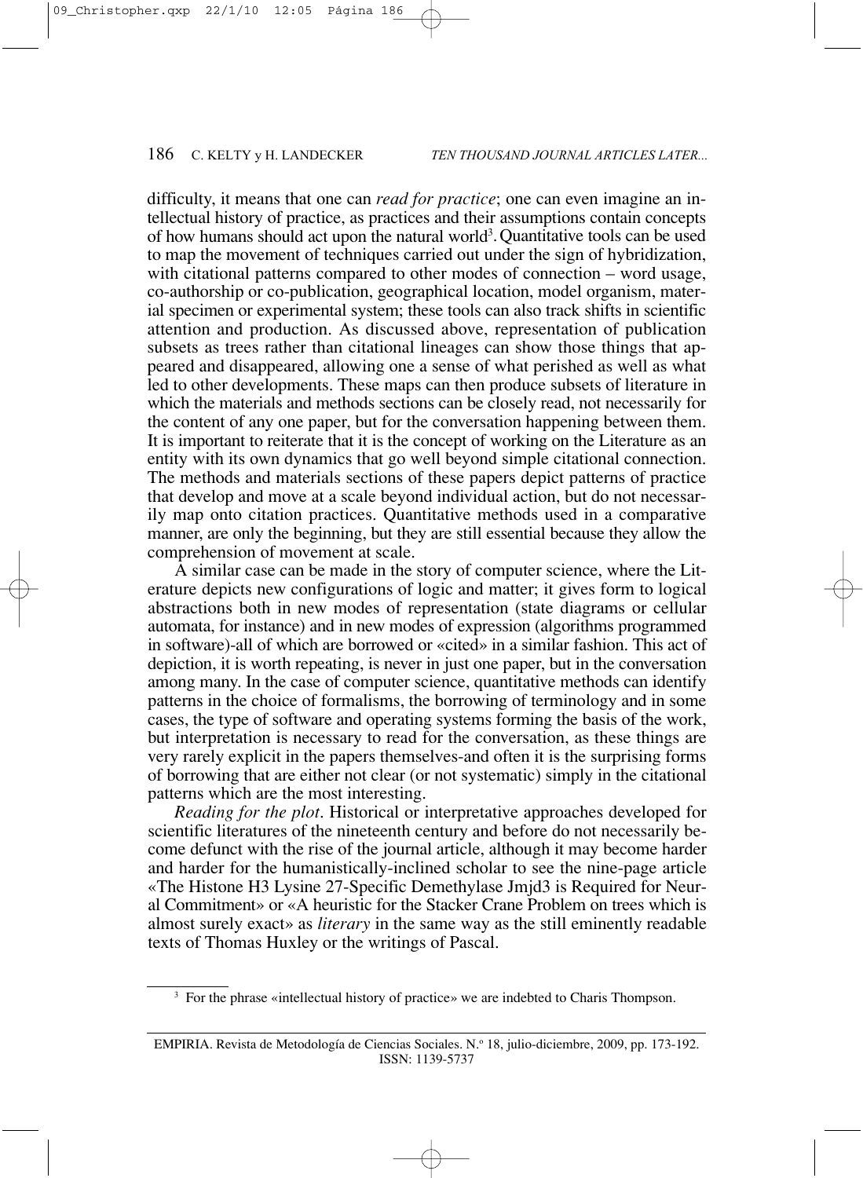difficulty, it means that one can *read for practice*; one can even imagine an intellectual history of practice, as practices and their assumptions contain concepts of how humans should act upon the natural world<sup>3</sup>. Quantitative tools can be used to map the movement of techniques carried out under the sign of hybridization, with citational patterns compared to other modes of connection – word usage, co-authorship or co-publication, geographical location, model organism, material specimen or experimental system; these tools can also track shifts in scientific attention and production. As discussed above, representation of publication subsets as trees rather than citational lineages can show those things that appeared and disappeared, allowing one a sense of what perished as well as what led to other developments. These maps can then produce subsets of literature in which the materials and methods sections can be closely read, not necessarily for the content of any one paper, but for the conversation happening between them. It is important to reiterate that it is the concept of working on the Literature as an entity with its own dynamics that go well beyond simple citational connection. The methods and materials sections of these papers depict patterns of practice that develop and move at a scale beyond individual action, but do not necessarily map onto citation practices. Quantitative methods used in a comparative manner, are only the beginning, but they are still essential because they allow the comprehension of movement at scale.

A similar case can be made in the story of computer science, where the Literature depicts new configurations of logic and matter; it gives form to logical abstractions both in new modes of representation (state diagrams or cellular automata, for instance) and in new modes of expression (algorithms programmed in software)-all of which are borrowed or «cited» in a similar fashion. This act of depiction, it is worth repeating, is never in just one paper, but in the conversation among many. In the case of computer science, quantitative methods can identify patterns in the choice of formalisms, the borrowing of terminology and in some cases, the type of software and operating systems forming the basis of the work, but interpretation is necessary to read for the conversation, as these things are very rarely explicit in the papers themselves-and often it is the surprising forms of borrowing that are either not clear (or not systematic) simply in the citational patterns which are the most interesting.

*Reading for the plot*. Historical or interpretative approaches developed for scientific literatures of the nineteenth century and before do not necessarily become defunct with the rise of the journal article, although it may become harder and harder for the humanistically-inclined scholar to see the nine-page article «The Histone H3 Lysine 27-Specific Demethylase Jmjd3 is Required for Neural Commitment» or «A heuristic for the Stacker Crane Problem on trees which is almost surely exact» as *literary* in the same way as the still eminently readable texts of Thomas Huxley or the writings of Pascal.

<sup>&</sup>lt;sup>3</sup> For the phrase «intellectual history of practice» we are indebted to Charis Thompson.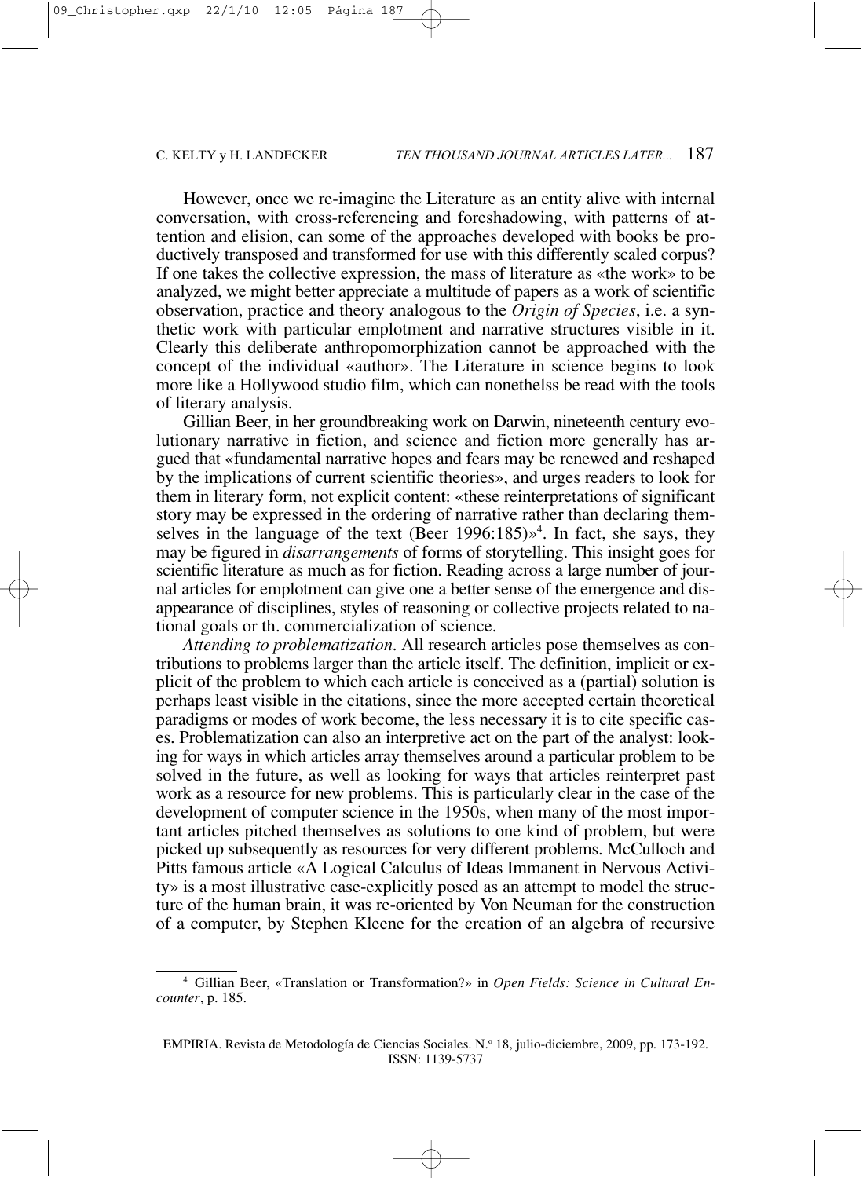However, once we re-imagine the Literature as an entity alive with internal conversation, with cross-referencing and foreshadowing, with patterns of attention and elision, can some of the approaches developed with books be productively transposed and transformed for use with this differently scaled corpus? If one takes the collective expression, the mass of literature as «the work» to be analyzed, we might better appreciate a multitude of papers as a work of scientific observation, practice and theory analogous to the *Origin of Species*, i.e. a synthetic work with particular emplotment and narrative structures visible in it. Clearly this deliberate anthropomorphization cannot be approached with the concept of the individual «author». The Literature in science begins to look more like a Hollywood studio film, which can nonethelss be read with the tools of literary analysis.

Gillian Beer, in her groundbreaking work on Darwin, nineteenth century evolutionary narrative in fiction, and science and fiction more generally has argued that «fundamental narrative hopes and fears may be renewed and reshaped by the implications of current scientific theories», and urges readers to look for them in literary form, not explicit content: «these reinterpretations of significant story may be expressed in the ordering of narrative rather than declaring themselves in the language of the text (Beer 1996:185) $\frac{1}{2}$ . In fact, she says, they may be figured in *disarrangements* of forms of storytelling. This insight goes for scientific literature as much as for fiction. Reading across a large number of journal articles for emplotment can give one a better sense of the emergence and disappearance of disciplines, styles of reasoning or collective projects related to national goals or th. commercialization of science.

*Attending to problematization*. All research articles pose themselves as contributions to problems larger than the article itself. The definition, implicit or explicit of the problem to which each article is conceived as a (partial) solution is perhaps least visible in the citations, since the more accepted certain theoretical paradigms or modes of work become, the less necessary it is to cite specific cases. Problematization can also an interpretive act on the part of the analyst: looking for ways in which articles array themselves around a particular problem to be solved in the future, as well as looking for ways that articles reinterpret past work as a resource for new problems. This is particularly clear in the case of the development of computer science in the 1950s, when many of the most important articles pitched themselves as solutions to one kind of problem, but were picked up subsequently as resources for very different problems. McCulloch and Pitts famous article «A Logical Calculus of Ideas Immanent in Nervous Activity» is a most illustrative case-explicitly posed as an attempt to model the structure of the human brain, it was re-oriented by Von Neuman for the construction of a computer, by Stephen Kleene for the creation of an algebra of recursive

<sup>4</sup> Gillian Beer, «Translation or Transformation?» in *Open Fields: Science in Cultural Encounter*, p. 185.

EMPIRIA. Revista de Metodología de Ciencias Sociales. N.º 18, julio-diciembre, 2009, pp. 173-192. ISSN: 1139-5737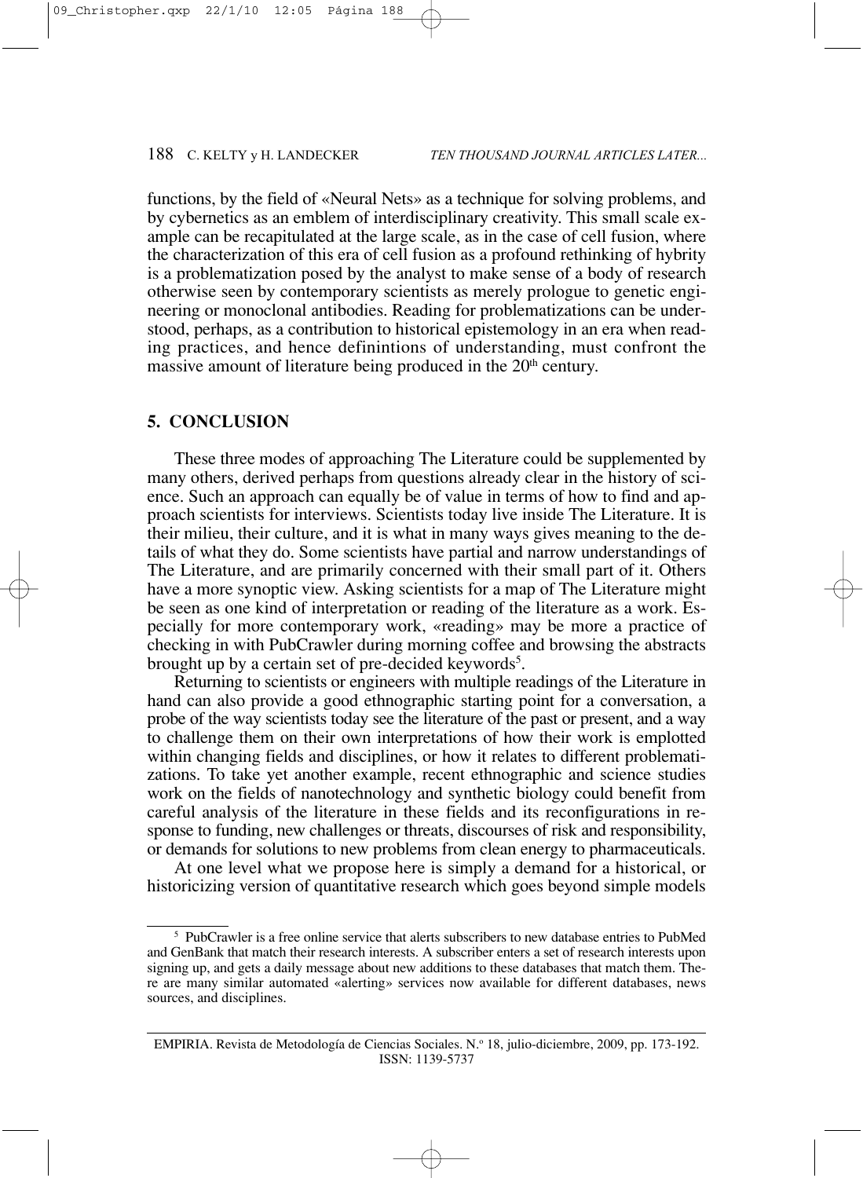functions, by the field of «Neural Nets» as a technique for solving problems, and by cybernetics as an emblem of interdisciplinary creativity. This small scale example can be recapitulated at the large scale, as in the case of cell fusion, where the characterization of this era of cell fusion as a profound rethinking of hybrity is a problematization posed by the analyst to make sense of a body of research otherwise seen by contemporary scientists as merely prologue to genetic engineering or monoclonal antibodies. Reading for problematizations can be understood, perhaps, as a contribution to historical epistemology in an era when reading practices, and hence definintions of understanding, must confront the massive amount of literature being produced in the 20<sup>th</sup> century.

#### **5. CONCLUSION**

These three modes of approaching The Literature could be supplemented by many others, derived perhaps from questions already clear in the history of science. Such an approach can equally be of value in terms of how to find and approach scientists for interviews. Scientists today live inside The Literature. It is their milieu, their culture, and it is what in many ways gives meaning to the details of what they do. Some scientists have partial and narrow understandings of The Literature, and are primarily concerned with their small part of it. Others have a more synoptic view. Asking scientists for a map of The Literature might be seen as one kind of interpretation or reading of the literature as a work. Especially for more contemporary work, «reading» may be more a practice of checking in with PubCrawler during morning coffee and browsing the abstracts brought up by a certain set of pre-decided keywords<sup>5</sup>.

Returning to scientists or engineers with multiple readings of the Literature in hand can also provide a good ethnographic starting point for a conversation, a probe of the way scientists today see the literature of the past or present, and a way to challenge them on their own interpretations of how their work is emplotted within changing fields and disciplines, or how it relates to different problematizations. To take yet another example, recent ethnographic and science studies work on the fields of nanotechnology and synthetic biology could benefit from careful analysis of the literature in these fields and its reconfigurations in response to funding, new challenges or threats, discourses of risk and responsibility, or demands for solutions to new problems from clean energy to pharmaceuticals.

At one level what we propose here is simply a demand for a historical, or historicizing version of quantitative research which goes beyond simple models

<sup>&</sup>lt;sup>5</sup> PubCrawler is a free online service that alerts subscribers to new database entries to PubMed and GenBank that match their research interests. A subscriber enters a set of research interests upon signing up, and gets a daily message about new additions to these databases that match them. There are many similar automated «alerting» services now available for different databases, news sources, and disciplines.

EMPIRIA. Revista de Metodología de Ciencias Sociales. N.º 18, julio-diciembre, 2009, pp. 173-192. ISSN: 1139-5737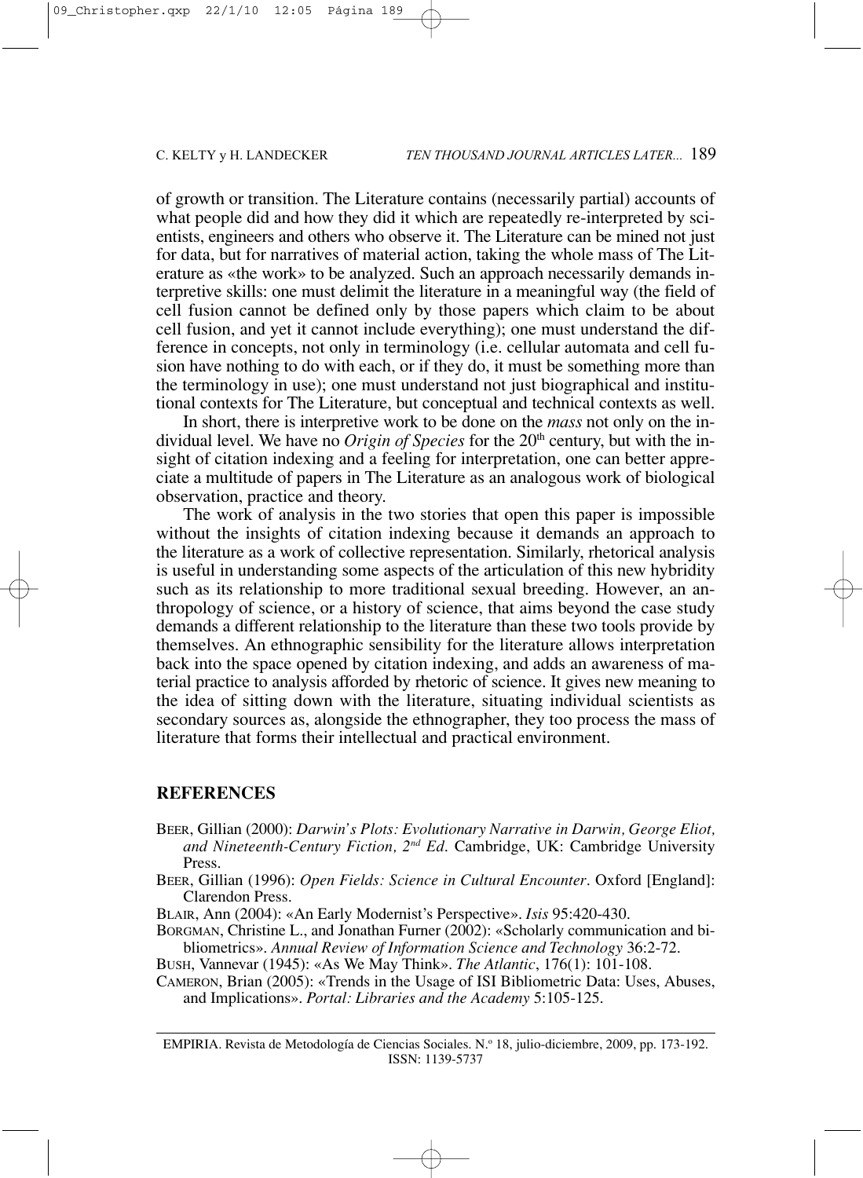of growth or transition. The Literature contains (necessarily partial) accounts of what people did and how they did it which are repeatedly re-interpreted by scientists, engineers and others who observe it. The Literature can be mined not just for data, but for narratives of material action, taking the whole mass of The Literature as «the work» to be analyzed. Such an approach necessarily demands interpretive skills: one must delimit the literature in a meaningful way (the field of cell fusion cannot be defined only by those papers which claim to be about cell fusion, and yet it cannot include everything); one must understand the difference in concepts, not only in terminology (i.e. cellular automata and cell fusion have nothing to do with each, or if they do, it must be something more than the terminology in use); one must understand not just biographical and institutional contexts for The Literature, but conceptual and technical contexts as well.

In short, there is interpretive work to be done on the *mass* not only on the individual level. We have no *Origin of Species* for the 20<sup>th</sup> century, but with the insight of citation indexing and a feeling for interpretation, one can better appreciate a multitude of papers in The Literature as an analogous work of biological observation, practice and theory.

The work of analysis in the two stories that open this paper is impossible without the insights of citation indexing because it demands an approach to the literature as a work of collective representation. Similarly, rhetorical analysis is useful in understanding some aspects of the articulation of this new hybridity such as its relationship to more traditional sexual breeding. However, an anthropology of science, or a history of science, that aims beyond the case study demands a different relationship to the literature than these two tools provide by themselves. An ethnographic sensibility for the literature allows interpretation back into the space opened by citation indexing, and adds an awareness of material practice to analysis afforded by rhetoric of science. It gives new meaning to the idea of sitting down with the literature, situating individual scientists as secondary sources as, alongside the ethnographer, they too process the mass of literature that forms their intellectual and practical environment.

#### **REFERENCES**

- BEER, Gillian (2000): *Darwin's Plots: Evolutionary Narrative in Darwin, George Eliot, and Nineteenth-Century Fiction, 2nd Ed*. Cambridge, UK: Cambridge University Press.
- BEER, Gillian (1996): *Open Fields: Science in Cultural Encounter*. Oxford [England]: Clarendon Press.
- BLAIR, Ann (2004): «An Early Modernist's Perspective». *Isis* 95:420-430.
- BORGMAN, Christine L., and Jonathan Furner (2002): «Scholarly communication and bibliometrics». *Annual Review of Information Science and Technology* 36:2-72.
- BUSH, Vannevar (1945): «As We May Think». *The Atlantic*, 176(1): 101-108.
- CAMERON, Brian (2005): «Trends in the Usage of ISI Bibliometric Data: Uses, Abuses, and Implications». *Portal: Libraries and the Academy* 5:105-125.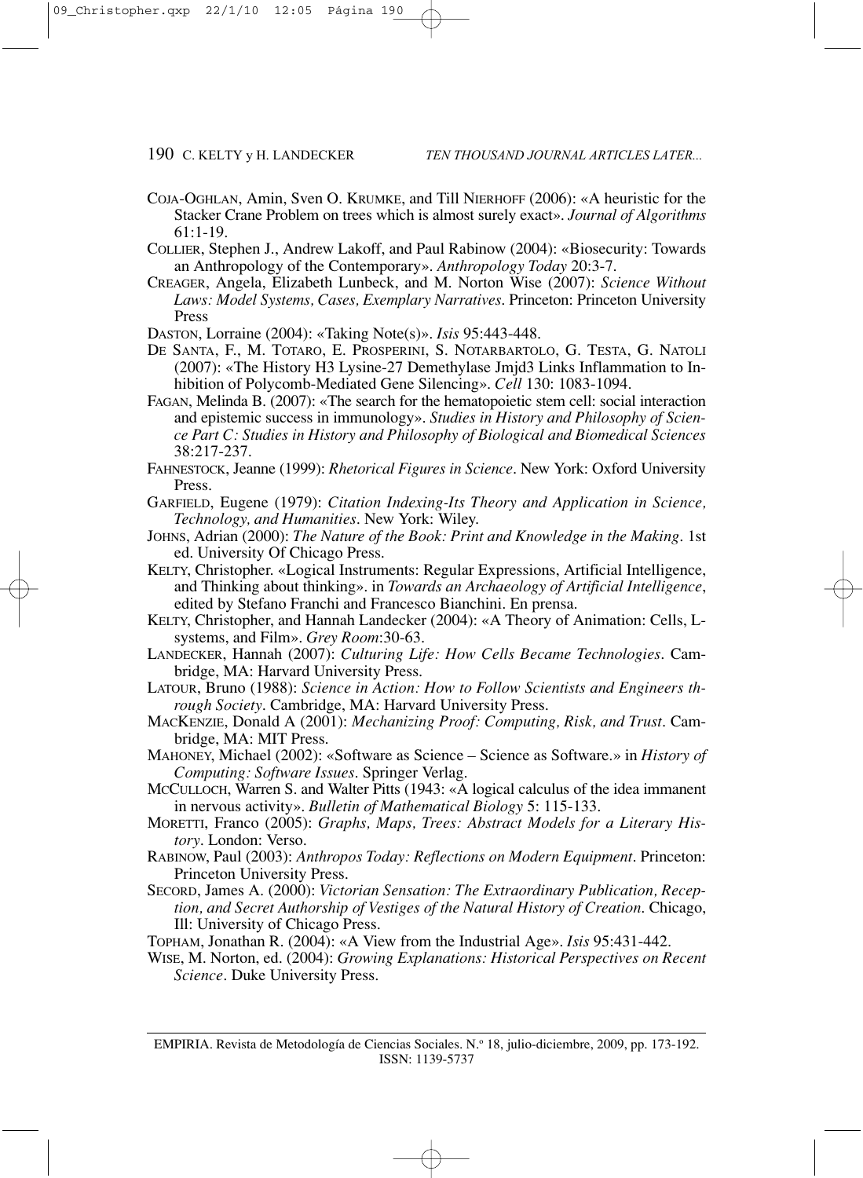- COJA-OGHLAN, Amin, Sven O. KRUMKE, and Till NIERHOFF (2006): «A heuristic for the Stacker Crane Problem on trees which is almost surely exact». *Journal of Algorithms* 61:1-19.
- COLLIER, Stephen J., Andrew Lakoff, and Paul Rabinow (2004): «Biosecurity: Towards an Anthropology of the Contemporary». *Anthropology Today* 20:3-7.
- CREAGER, Angela, Elizabeth Lunbeck, and M. Norton Wise (2007): *Science Without Laws: Model Systems, Cases, Exemplary Narratives*. Princeton: Princeton University Press

DASTON, Lorraine (2004): «Taking Note(s)». *Isis* 95:443-448.

- DE SANTA, F., M. TOTARO, E. PROSPERINI, S. NOTARBARTOLO, G. TESTA, G. NATOLI (2007): «The History H3 Lysine-27 Demethylase Jmjd3 Links Inflammation to Inhibition of Polycomb-Mediated Gene Silencing». *Cell* 130: 1083-1094.
- FAGAN, Melinda B. (2007): «The search for the hematopoietic stem cell: social interaction and epistemic success in immunology». *Studies in History and Philosophy of Science Part C: Studies in History and Philosophy of Biological and Biomedical Sciences* 38:217-237.
- FAHNESTOCK, Jeanne (1999): *Rhetorical Figures in Science*. New York: Oxford University Press.
- GARFIELD, Eugene (1979): *Citation Indexing-Its Theory and Application in Science, Technology, and Humanities*. New York: Wiley.
- JOHNS, Adrian (2000): *The Nature of the Book: Print and Knowledge in the Making*. 1st ed. University Of Chicago Press.
- KELTY, Christopher. «Logical Instruments: Regular Expressions, Artificial Intelligence, and Thinking about thinking». in *Towards an Archaeology of Artificial Intelligence*, edited by Stefano Franchi and Francesco Bianchini. En prensa.
- KELTY, Christopher, and Hannah Landecker (2004): «A Theory of Animation: Cells, Lsystems, and Film». *Grey Room*:30-63.
- LANDECKER, Hannah (2007): *Culturing Life: How Cells Became Technologies*. Cambridge, MA: Harvard University Press.
- LATOUR, Bruno (1988): *Science in Action: How to Follow Scientists and Engineers through Society*. Cambridge, MA: Harvard University Press.
- MACKENZIE, Donald A (2001): *Mechanizing Proof: Computing, Risk, and Trust*. Cambridge, MA: MIT Press.
- MAHONEY, Michael (2002): «Software as Science Science as Software.» in *History of Computing: Software Issues*. Springer Verlag.
- MCCULLOCH, Warren S. and Walter Pitts (1943: «A logical calculus of the idea immanent in nervous activity». *Bulletin of Mathematical Biology* 5: 115-133.
- MORETTI, Franco (2005): *Graphs, Maps, Trees: Abstract Models for a Literary History*. London: Verso.
- RABINOW, Paul (2003): *Anthropos Today: Reflections on Modern Equipment*. Princeton: Princeton University Press.
- SECORD, James A. (2000): *Victorian Sensation: The Extraordinary Publication, Reception, and Secret Authorship of Vestiges of the Natural History of Creation*. Chicago, Ill: University of Chicago Press.
- TOPHAM, Jonathan R. (2004): «A View from the Industrial Age». *Isis* 95:431-442.
- WISE, M. Norton, ed. (2004): *Growing Explanations: Historical Perspectives on Recent Science*. Duke University Press.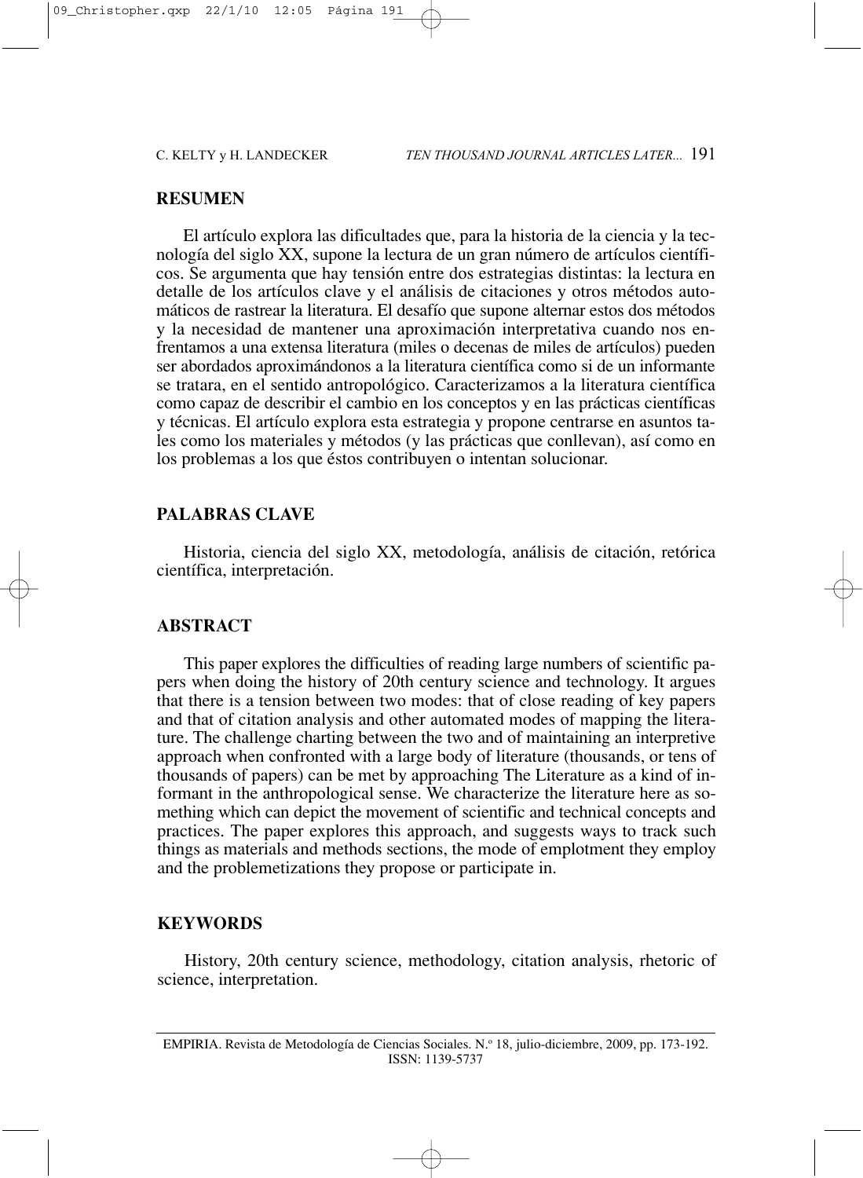#### **RESUMEN**

El artículo explora las dificultades que, para la historia de la ciencia y la tecnología del siglo XX, supone la lectura de un gran número de artículos científicos. Se argumenta que hay tensión entre dos estrategias distintas: la lectura en detalle de los artículos clave y el análisis de citaciones y otros métodos automáticos de rastrear la literatura. El desafío que supone alternar estos dos métodos y la necesidad de mantener una aproximación interpretativa cuando nos enfrentamos a una extensa literatura (miles o decenas de miles de artículos) pueden ser abordados aproximándonos a la literatura científica como si de un informante se tratara, en el sentido antropológico. Caracterizamos a la literatura científica como capaz de describir el cambio en los conceptos y en las prácticas científicas y técnicas. El artículo explora esta estrategia y propone centrarse en asuntos tales como los materiales y métodos (y las prácticas que conllevan), así como en los problemas a los que éstos contribuyen o intentan solucionar.

#### **PALABRAS CLAVE**

Historia, ciencia del siglo XX, metodología, análisis de citación, retórica científica, interpretación.

#### **ABSTRACT**

This paper explores the difficulties of reading large numbers of scientific papers when doing the history of 20th century science and technology. It argues that there is a tension between two modes: that of close reading of key papers and that of citation analysis and other automated modes of mapping the literature. The challenge charting between the two and of maintaining an interpretive approach when confronted with a large body of literature (thousands, or tens of thousands of papers) can be met by approaching The Literature as a kind of informant in the anthropological sense. We characterize the literature here as something which can depict the movement of scientific and technical concepts and practices. The paper explores this approach, and suggests ways to track such things as materials and methods sections, the mode of emplotment they employ and the problemetizations they propose or participate in.

#### **KEYWORDS**

History, 20th century science, methodology, citation analysis, rhetoric of science, interpretation.